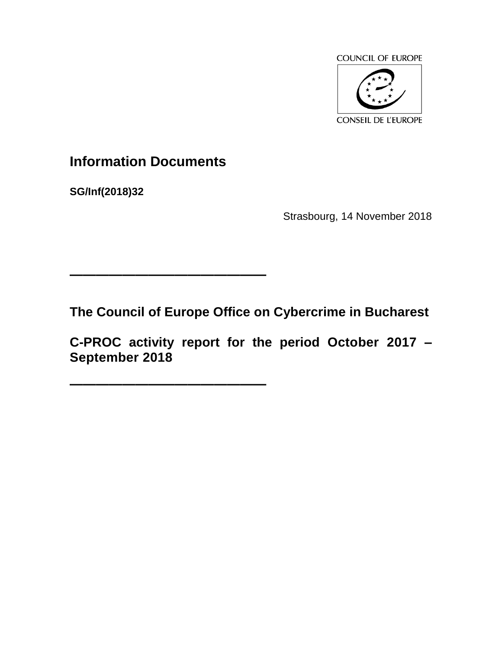

# **Information Documents**

**———————————————**

**———————————————**

**SG/Inf(2018)32**

Strasbourg, 14 November 2018

**The Council of Europe Office on Cybercrime in Bucharest**

**C-PROC activity report for the period October 2017 – September 2018**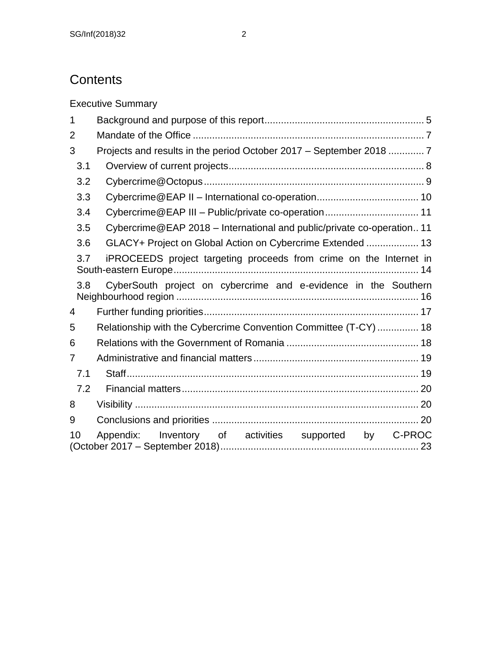# **Contents**

Executive Summary 1 [Background and purpose of this report..........................................................](#page-4-0) 5 2 Mandate of the Office [....................................................................................](#page-6-0) 7 3 [Projects and results in the period October 2017 –](#page-6-1) September 2018 ............. 7 3.1 [Overview of current projects.......................................................................](#page-7-0) 8 3.2 [Cybercrime@Octopus................................................................................](#page-8-0) 9 3.3 Cybercrime@EAP II – [International co-operation.....................................](#page-9-0) 10 3.4 Cybercrime@EAP III – [Public/private co-operation..................................](#page-10-0) 11 3.5 Cybercrime@EAP 2018 – [International and public/private co-operation..](#page-10-1) 11 3.6 [GLACY+ Project on Global Action on Cybercrime Extended](#page-12-0) ................... 13 3.7 [iPROCEEDS project targeting proceeds from crime on the Internet in](#page-13-0)  [South-eastern Europe.........................................................................................](#page-13-0) 14 3.8 [CyberSouth project on cybercrime and e-evidence in the Southern](#page-15-0)  Neighbourhood region [........................................................................................](#page-15-0) 16 4 [Further funding priorities..............................................................................](#page-16-0) 17 5 [Relationship with the Cybercrime Convention Committee \(T-CY\)](#page-17-0) ............... 18 6 [Relations with the Government of Romania](#page-17-1) ................................................ 18 7 Administrative and financial matters [............................................................](#page-18-0) 19 7.1 [Staff..........................................................................................................](#page-18-1) 19 7.2 [Financial matters......................................................................................](#page-19-0) 20 8 Visibility [.......................................................................................................](#page-19-1) 20 9 Conclusions and priorities [...........................................................................](#page-19-2) 20 10 [Appendix: Inventory of activities supported by C-PROC](#page-22-0)  (October 2017 – [September 2018\)........................................................................](#page-22-0) 23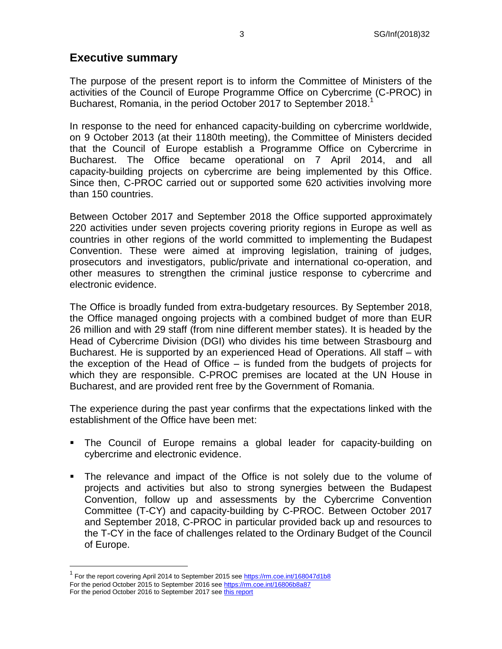### **Executive summary**

The purpose of the present report is to inform the Committee of Ministers of the activities of the Council of Europe Programme Office on Cybercrime (C-PROC) in Bucharest, Romania, in the period October 2017 to September 2018.<sup>1</sup>

In response to the need for enhanced capacity-building on cybercrime worldwide, on 9 October 2013 (at their 1180th meeting), the Committee of Ministers decided that the Council of Europe establish a Programme Office on Cybercrime in Bucharest. The Office became operational on 7 April 2014, and all capacity-building projects on cybercrime are being implemented by this Office. Since then, C-PROC carried out or supported some 620 activities involving more than 150 countries.

Between October 2017 and September 2018 the Office supported approximately 220 activities under seven projects covering priority regions in Europe as well as countries in other regions of the world committed to implementing the Budapest Convention. These were aimed at improving legislation, training of judges, prosecutors and investigators, public/private and international co-operation, and other measures to strengthen the criminal justice response to cybercrime and electronic evidence.

The Office is broadly funded from extra-budgetary resources. By September 2018, the Office managed ongoing projects with a combined budget of more than EUR 26 million and with 29 staff (from nine different member states). It is headed by the Head of Cybercrime Division (DGI) who divides his time between Strasbourg and Bucharest. He is supported by an experienced Head of Operations. All staff – with the exception of the Head of Office – is funded from the budgets of projects for which they are responsible. C-PROC premises are located at the UN House in Bucharest, and are provided rent free by the Government of Romania.

The experience during the past year confirms that the expectations linked with the establishment of the Office have been met:

- The Council of Europe remains a global leader for capacity-building on cybercrime and electronic evidence.
- The relevance and impact of the Office is not solely due to the volume of projects and activities but also to strong synergies between the Budapest Convention, follow up and assessments by the Cybercrime Convention Committee (T-CY) and capacity-building by C-PROC. Between October 2017 and September 2018, C-PROC in particular provided back up and resources to the T-CY in the face of challenges related to the Ordinary Budget of the Council of Europe.

<sup>&</sup>lt;sup>1</sup> For the report covering April 2014 to September 2015 se[e https://rm.coe.int/168047d1b8](https://rm.coe.int/168047d1b8) For the period October 2015 to September 2016 se[e https://rm.coe.int/16806b8a87](https://rm.coe.int/16806b8a87) For the period October 2016 to September 2017 se[e this report](https://rm.coe.int/CoERMPublicCommonSearchServices/DisplayDCTMContent?documentId=09000016806b8a87)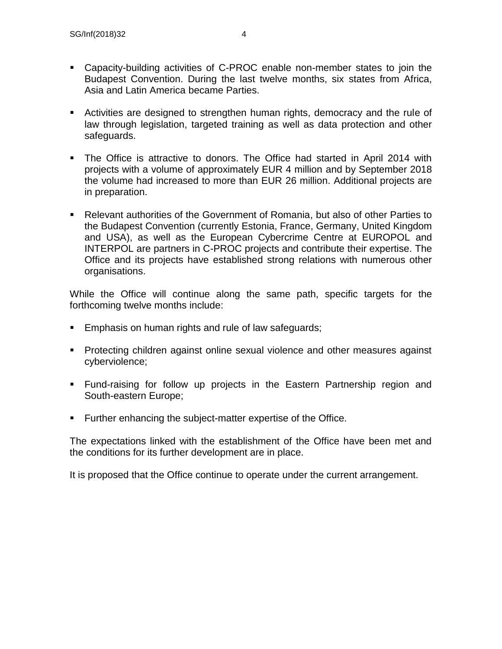- Capacity-building activities of C-PROC enable non-member states to join the Budapest Convention. During the last twelve months, six states from Africa, Asia and Latin America became Parties.
- Activities are designed to strengthen human rights, democracy and the rule of law through legislation, targeted training as well as data protection and other safeguards.
- The Office is attractive to donors. The Office had started in April 2014 with projects with a volume of approximately EUR 4 million and by September 2018 the volume had increased to more than EUR 26 million. Additional projects are in preparation.
- Relevant authorities of the Government of Romania, but also of other Parties to the Budapest Convention (currently Estonia, France, Germany, United Kingdom and USA), as well as the European Cybercrime Centre at EUROPOL and INTERPOL are partners in C-PROC projects and contribute their expertise. The Office and its projects have established strong relations with numerous other organisations.

While the Office will continue along the same path, specific targets for the forthcoming twelve months include:

- **Emphasis on human rights and rule of law safeguards;**
- **Protecting children against online sexual violence and other measures against** cyberviolence;
- Fund-raising for follow up projects in the Eastern Partnership region and South-eastern Europe;
- **Further enhancing the subject-matter expertise of the Office.**

The expectations linked with the establishment of the Office have been met and the conditions for its further development are in place.

It is proposed that the Office continue to operate under the current arrangement.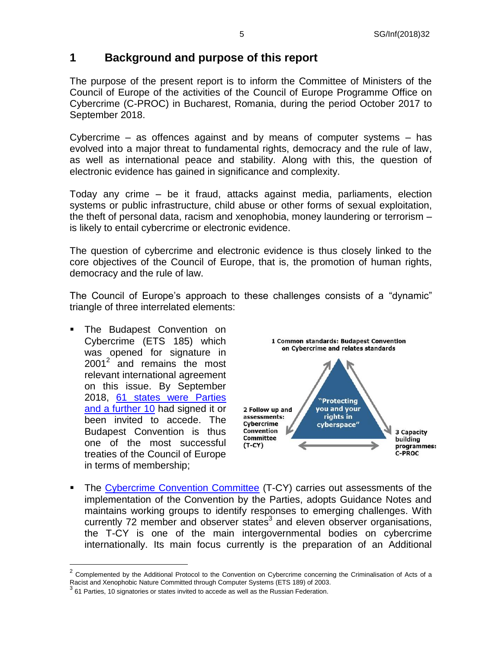## <span id="page-4-0"></span>**1 Background and purpose of this report**

The purpose of the present report is to inform the Committee of Ministers of the Council of Europe of the activities of the Council of Europe Programme Office on Cybercrime (C-PROC) in Bucharest, Romania, during the period October 2017 to September 2018.

Cybercrime – as offences against and by means of computer systems – has evolved into a major threat to fundamental rights, democracy and the rule of law, as well as international peace and stability. Along with this, the question of electronic evidence has gained in significance and complexity.

Today any crime – be it fraud, attacks against media, parliaments, election systems or public infrastructure, child abuse or other forms of sexual exploitation, the theft of personal data, racism and xenophobia, money laundering or terrorism – is likely to entail cybercrime or electronic evidence.

The question of cybercrime and electronic evidence is thus closely linked to the core objectives of the Council of Europe, that is, the promotion of human rights, democracy and the rule of law.

The Council of Europe's approach to these challenges consists of a "dynamic" triangle of three interrelated elements:

 The Budapest Convention on Cybercrime (ETS 185) which was opened for signature in 2001<sup>2</sup> and remains the most relevant international agreement on this issue. By September 2018, 61 [states were Parties](http://www.coe.int/en/web/conventions/full-list/-/conventions/treaty/185/signatures)  [and a further 10](http://www.coe.int/en/web/conventions/full-list/-/conventions/treaty/185/signatures) had signed it or been invited to accede. The Budapest Convention is thus one of the most successful treaties of the Council of Europe in terms of membership;

 $\overline{a}$ 



The [Cybercrime Convention Committee](http://www.coe.int/en/web/cybercrime/tcy) (T-CY) carries out assessments of the implementation of the Convention by the Parties, adopts Guidance Notes and maintains working groups to identify responses to emerging challenges. With currently 72 member and observer states $3$  and eleven observer organisations, the T-CY is one of the main intergovernmental bodies on cybercrime internationally. Its main focus currently is the preparation of an Additional

<sup>2</sup> Complemented by the Additional Protocol to the Convention on Cybercrime concerning the Criminalisation of Acts of a Racist and Xenophobic Nature Committed through Computer Systems (ETS 189) of 2003.

<sup>&</sup>lt;sup>3</sup> 61 Parties, 10 signatories or states invited to accede as well as the Russian Federation.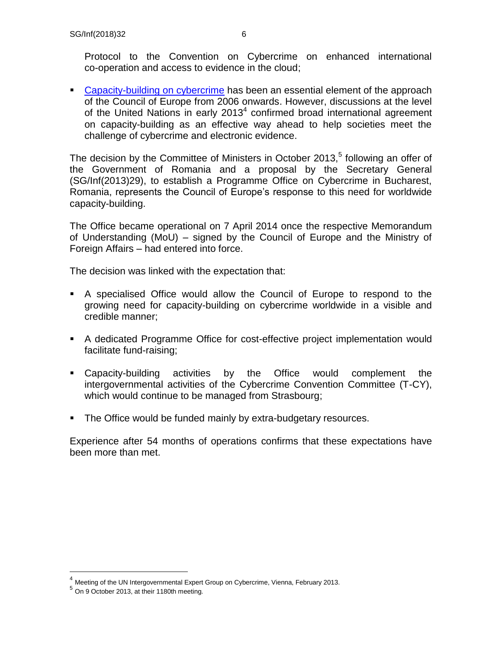Protocol to the Convention on Cybercrime on enhanced international co-operation and access to evidence in the cloud;

**[Capacity-building on cybercrime](https://rm.coe.int/CoERMPublicCommonSearchServices/DisplayDCTMContent?documentId=09000016802fa3e6) has been an essential element of the approach** of the Council of Europe from 2006 onwards. However, discussions at the level of the United Nations in early  $2013<sup>4</sup>$  confirmed broad international agreement on capacity-building as an effective way ahead to help societies meet the challenge of cybercrime and electronic evidence.

The decision by the Committee of Ministers in October 2013, $5$  following an offer of the Government of Romania and a proposal by the Secretary General (SG/Inf(2013)29), to establish a Programme Office on Cybercrime in Bucharest, Romania, represents the Council of Europe's response to this need for worldwide capacity-building.

The Office became operational on 7 April 2014 once the respective Memorandum of Understanding (MoU) – signed by the Council of Europe and the Ministry of Foreign Affairs – had entered into force.

The decision was linked with the expectation that:

- A specialised Office would allow the Council of Europe to respond to the growing need for capacity-building on cybercrime worldwide in a visible and credible manner;
- A dedicated Programme Office for cost-effective project implementation would facilitate fund-raising;
- Capacity-building activities by the Office would complement the intergovernmental activities of the Cybercrime Convention Committee (T-CY), which would continue to be managed from Strasbourg;
- **The Office would be funded mainly by extra-budgetary resources.**

Experience after 54 months of operations confirms that these expectations have been more than met.

<sup>&</sup>lt;sup>4</sup> Meeting of the UN Intergovernmental Expert Group on Cybercrime, Vienna, February 2013.

<sup>5</sup> On 9 October 2013, at their 1180th meeting.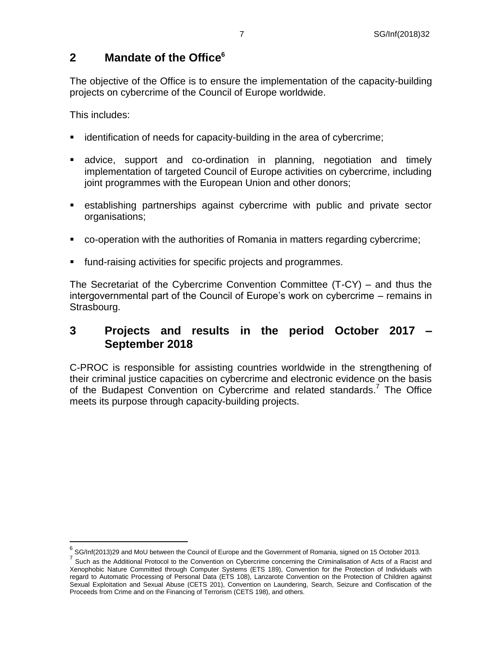## <span id="page-6-0"></span>**2 Mandate of the Office<sup>6</sup>**

The objective of the Office is to ensure the implementation of the capacity-building projects on cybercrime of the Council of Europe worldwide.

This includes:

- **EXEDENT** identification of needs for capacity-building in the area of cybercrime;
- advice, support and co-ordination in planning, negotiation and timely implementation of targeted Council of Europe activities on cybercrime, including joint programmes with the European Union and other donors;
- establishing partnerships against cybercrime with public and private sector organisations;
- co-operation with the authorities of Romania in matters regarding cybercrime;
- fund-raising activities for specific projects and programmes.

The Secretariat of the Cybercrime Convention Committee (T-CY) – and thus the intergovernmental part of the Council of Europe's work on cybercrime – remains in Strasbourg.

### <span id="page-6-1"></span>**3 Projects and results in the period October 2017 – September 2018**

C-PROC is responsible for assisting countries worldwide in the strengthening of their criminal justice capacities on cybercrime and electronic evidence on the basis of the Budapest Convention on Cybercrime and related standards.<sup>7</sup> The Office meets its purpose through capacity-building projects.

 6 SG/Inf(2013)29 and MoU between the Council of Europe and the Government of Romania, signed on 15 October 2013.

<sup>&</sup>lt;sup>7</sup> Such as the Additional Protocol to the Convention on Cybercrime concerning the Criminalisation of Acts of a Racist and Xenophobic Nature Committed through Computer Systems (ETS 189), Convention for the Protection of Individuals with regard to Automatic Processing of Personal Data (ETS 108), Lanzarote Convention on the Protection of Children against Sexual Exploitation and Sexual Abuse (CETS 201), Convention on Laundering, Search, Seizure and Confiscation of the Proceeds from Crime and on the Financing of Terrorism (CETS 198), and others.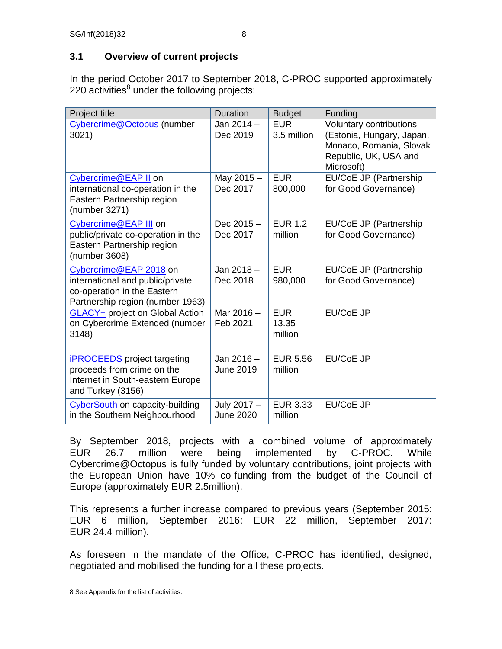### <span id="page-7-0"></span>**3.1 Overview of current projects**

In the period October 2017 to September 2018, C-PROC supported approximately 220 activities $^8$  under the following projects:

| Project title                                                                                                                 | <b>Duration</b>                 | <b>Budget</b>                  | Funding                                                                                                                |
|-------------------------------------------------------------------------------------------------------------------------------|---------------------------------|--------------------------------|------------------------------------------------------------------------------------------------------------------------|
| Cybercrime@Octopus (number<br>3021)                                                                                           | Jan 2014 -<br>Dec 2019          | <b>EUR</b><br>3.5 million      | Voluntary contributions<br>(Estonia, Hungary, Japan,<br>Monaco, Romania, Slovak<br>Republic, UK, USA and<br>Microsoft) |
| Cybercrime@EAP II on<br>international co-operation in the<br>Eastern Partnership region<br>(number 3271)                      | May 2015-<br>Dec 2017           | <b>EUR</b><br>800,000          | EU/CoE JP (Partnership<br>for Good Governance)                                                                         |
| Cybercrime@EAP III on<br>public/private co-operation in the<br>Eastern Partnership region<br>(number 3608)                    | Dec $2015 -$<br>Dec 2017        | <b>EUR 1.2</b><br>million      | EU/CoE JP (Partnership<br>for Good Governance)                                                                         |
| Cybercrime@EAP 2018 on<br>international and public/private<br>co-operation in the Eastern<br>Partnership region (number 1963) | Jan 2018-<br>Dec 2018           | <b>EUR</b><br>980,000          | EU/CoE JP (Partnership<br>for Good Governance)                                                                         |
| <b>GLACY+</b> project on Global Action<br>on Cybercrime Extended (number<br>3148)                                             | Mar 2016 -<br>Feb 2021          | <b>EUR</b><br>13.35<br>million | EU/CoE JP                                                                                                              |
| <b>iPROCEEDS</b> project targeting<br>proceeds from crime on the<br>Internet in South-eastern Europe<br>and Turkey (3156)     | Jan 2016 -<br><b>June 2019</b>  | <b>EUR 5.56</b><br>million     | <b>EU/CoE JP</b>                                                                                                       |
| CyberSouth on capacity-building<br>in the Southern Neighbourhood                                                              | July 2017 -<br><b>June 2020</b> | <b>EUR 3.33</b><br>million     | <b>EU/CoE JP</b>                                                                                                       |

By September 2018, projects with a combined volume of approximately EUR 26.7 million were being implemented by C-PROC. While Cybercrime@Octopus is fully funded by voluntary contributions, joint projects with the European Union have 10% co-funding from the budget of the Council of Europe (approximately EUR 2.5million).

This represents a further increase compared to previous years (September 2015: EUR 6 million, September 2016: EUR 22 million, September 2017: EUR 24.4 million).

As foreseen in the mandate of the Office, C-PROC has identified, designed, negotiated and mobilised the funding for all these projects.

 $\overline{a}$ 8 See Appendix for the list of activities.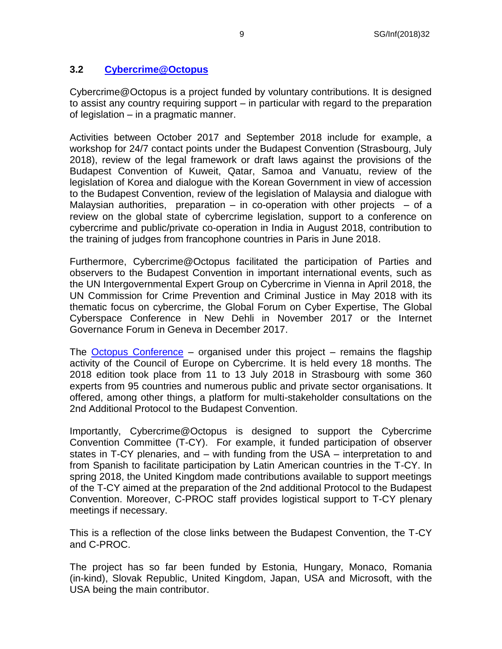### <span id="page-8-0"></span>**3.2 [Cybercrime@Octopus](http://www.coe.int/en/web/cybercrime/cybercrime-octopus)**

Cybercrime@Octopus is a project funded by voluntary contributions. It is designed to assist any country requiring support – in particular with regard to the preparation of legislation – in a pragmatic manner.

Activities between October 2017 and September 2018 include for example, a workshop for 24/7 contact points under the Budapest Convention (Strasbourg, July 2018), review of the legal framework or draft laws against the provisions of the Budapest Convention of Kuweit, Qatar, Samoa and Vanuatu, review of the legislation of Korea and dialogue with the Korean Government in view of accession to the Budapest Convention, review of the legislation of Malaysia and dialogue with Malaysian authorities, preparation – in co-operation with other projects – of a review on the global state of cybercrime legislation, support to a conference on cybercrime and public/private co-operation in India in August 2018, contribution to the training of judges from francophone countries in Paris in June 2018.

Furthermore, Cybercrime@Octopus facilitated the participation of Parties and observers to the Budapest Convention in important international events, such as the UN Intergovernmental Expert Group on Cybercrime in Vienna in April 2018, the UN Commission for Crime Prevention and Criminal Justice in May 2018 with its thematic focus on cybercrime, the Global Forum on Cyber Expertise, The Global Cyberspace Conference in New Dehli in November 2017 or the Internet Governance Forum in Geneva in December 2017.

The [Octopus Conference](https://rm.coe.int/3021-90-octo18-keymessages/16808c67bb) – organised under this project – remains the flagship activity of the Council of Europe on Cybercrime. It is held every 18 months. The 2018 edition took place from 11 to 13 July 2018 in Strasbourg with some 360 experts from 95 countries and numerous public and private sector organisations. It offered, among other things, a platform for multi-stakeholder consultations on the 2nd Additional Protocol to the Budapest Convention.

Importantly, Cybercrime@Octopus is designed to support the Cybercrime Convention Committee (T-CY). For example, it funded participation of observer states in T-CY plenaries, and – with funding from the USA – interpretation to and from Spanish to facilitate participation by Latin American countries in the T-CY. In spring 2018, the United Kingdom made contributions available to support meetings of the T-CY aimed at the preparation of the 2nd additional Protocol to the Budapest Convention. Moreover, C-PROC staff provides logistical support to T-CY plenary meetings if necessary.

This is a reflection of the close links between the Budapest Convention, the T-CY and C-PROC.

The project has so far been funded by Estonia, Hungary, Monaco, Romania (in-kind), Slovak Republic, United Kingdom, Japan, USA and Microsoft, with the USA being the main contributor.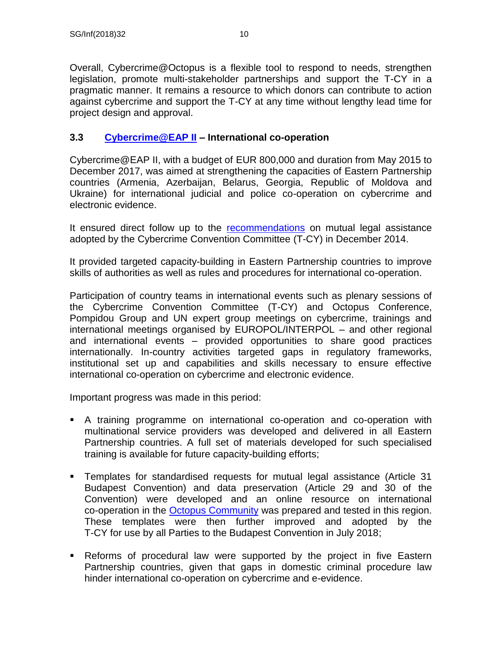Overall, Cybercrime@Octopus is a flexible tool to respond to needs, strengthen legislation, promote multi-stakeholder partnerships and support the T-CY in a pragmatic manner. It remains a resource to which donors can contribute to action against cybercrime and support the T-CY at any time without lengthy lead time for project design and approval.

### <span id="page-9-0"></span>**3.3 [Cybercrime@EAP II](http://www.coe.int/en/web/cybercrime/cybercrime-eap-ii) – International co-operation**

Cybercrime@EAP II, with a budget of EUR 800,000 and duration from May 2015 to December 2017, was aimed at strengthening the capacities of Eastern Partnership countries (Armenia, Azerbaijan, Belarus, Georgia, Republic of Moldova and Ukraine) for international judicial and police co-operation on cybercrime and electronic evidence.

It ensured direct follow up to the [recommendations](https://rm.coe.int/CoERMPublicCommonSearchServices/DisplayDCTMContent?documentId=09000016802e726c) on mutual legal assistance adopted by the Cybercrime Convention Committee (T-CY) in December 2014.

It provided targeted capacity-building in Eastern Partnership countries to improve skills of authorities as well as rules and procedures for international co-operation.

Participation of country teams in international events such as plenary sessions of the Cybercrime Convention Committee (T-CY) and Octopus Conference, Pompidou Group and UN expert group meetings on cybercrime, trainings and international meetings organised by EUROPOL/INTERPOL – and other regional and international events – provided opportunities to share good practices internationally. In-country activities targeted gaps in regulatory frameworks, institutional set up and capabilities and skills necessary to ensure effective international co-operation on cybercrime and electronic evidence.

Important progress was made in this period:

- A training programme on international co-operation and co-operation with multinational service providers was developed and delivered in all Eastern Partnership countries. A full set of materials developed for such specialised training is available for future capacity-building efforts;
- Templates for standardised requests for mutual legal assistance (Article 31 Budapest Convention) and data preservation (Article 29 and 30 of the Convention) were developed and an online resource on international co-operation in the [Octopus Community](http://www.coe.int/en/web/octopus/home) was prepared and tested in this region. These templates were then further improved and adopted by the T-CY for use by all Parties to the Budapest Convention in July 2018;
- Reforms of procedural law were supported by the project in five Eastern Partnership countries, given that gaps in domestic criminal procedure law hinder international co-operation on cybercrime and e-evidence.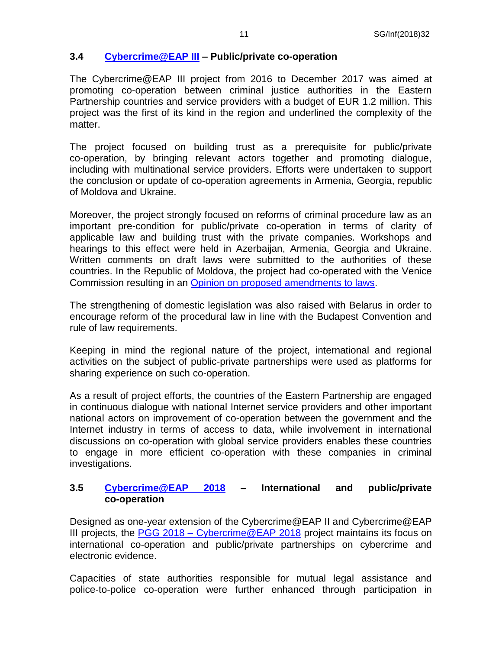### <span id="page-10-0"></span>**3.4 [Cybercrime@EAP III](http://www.coe.int/en/web/cybercrime/cybercrime-eap-iii) – Public/private co-operation**

The Cybercrime@EAP III project from 2016 to December 2017 was aimed at promoting co-operation between criminal justice authorities in the Eastern Partnership countries and service providers with a budget of EUR 1.2 million. This project was the first of its kind in the region and underlined the complexity of the matter.

The project focused on building trust as a prerequisite for public/private co-operation, by bringing relevant actors together and promoting dialogue, including with multinational service providers. Efforts were undertaken to support the conclusion or update of co-operation agreements in Armenia, Georgia, republic of Moldova and Ukraine.

Moreover, the project strongly focused on reforms of criminal procedure law as an important pre-condition for public/private co-operation in terms of clarity of applicable law and building trust with the private companies. Workshops and hearings to this effect were held in Azerbaijan, Armenia, Georgia and Ukraine. Written comments on draft laws were submitted to the authorities of these countries. In the Republic of Moldova, the project had co-operated with the Venice Commission resulting in an [Opinion on proposed amendments to laws.](http://www.venice.coe.int/webforms/documents/default.aspx?pdffile=CDL-AD(2016)039-e)

The strengthening of domestic legislation was also raised with Belarus in order to encourage reform of the procedural law in line with the Budapest Convention and rule of law requirements.

Keeping in mind the regional nature of the project, international and regional activities on the subject of public-private partnerships were used as platforms for sharing experience on such co-operation.

As a result of project efforts, the countries of the Eastern Partnership are engaged in continuous dialogue with national Internet service providers and other important national actors on improvement of co-operation between the government and the Internet industry in terms of access to data, while involvement in international discussions on co-operation with global service providers enables these countries to engage in more efficient co-operation with these companies in criminal investigations.

#### <span id="page-10-1"></span>**3.5 [Cybercrime@EAP 2018](https://www.coe.int/en/web/cybercrime/cybercrime-eap-2018) – International and public/private co-operation**

Designed as one-year extension of the Cybercrime@EAP II and Cybercrime@EAP III projects, the PGG 2018 – [Cybercrime@EAP 2018](https://www.coe.int/en/web/cybercrime/cybercrime-eap-2018) project maintains its focus on international co-operation and public/private partnerships on cybercrime and electronic evidence.

Capacities of state authorities responsible for mutual legal assistance and police-to-police co-operation were further enhanced through participation in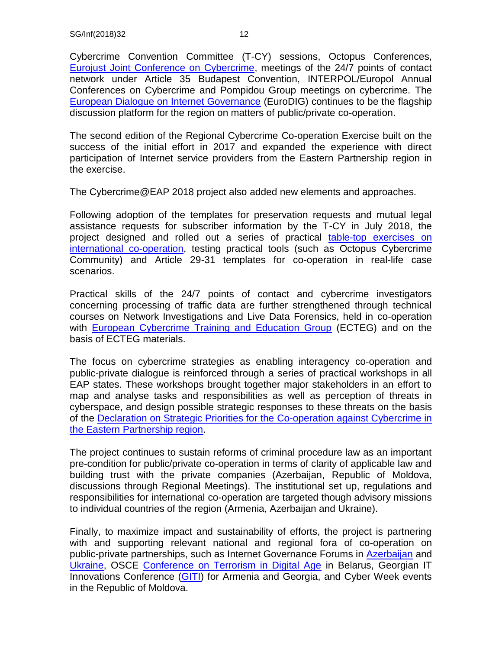Cybercrime Convention Committee (T-CY) sessions, Octopus Conferences, [Eurojust Joint Conference on Cybercrime,](https://www.coe.int/en/web/cybercrime/judicial-cooperation-in-cybercrime-matters-international-joint-conference) meetings of the 24/7 points of contact network under Article 35 Budapest Convention, INTERPOL/Europol Annual Conferences on Cybercrime and Pompidou Group meetings on cybercrime. The [European Dialogue on Internet Governance](https://www.eurodig.org/) (EuroDIG) continues to be the flagship discussion platform for the region on matters of public/private co-operation.

The second edition of the Regional Cybercrime Co-operation Exercise built on the success of the initial effort in 2017 and expanded the experience with direct participation of Internet service providers from the Eastern Partnership region in the exercise.

The Cybercrime@EAP 2018 project also added new elements and approaches.

Following adoption of the templates for preservation requests and mutual legal assistance requests for subscriber information by the T-CY in July 2018, the project designed and rolled out a series of practical [table-top exercises on](https://www.coe.int/en/web/cybercrime/-/roll-out-of-the-table-top-exercises-on-international-cooperation-in-the-eastern-partnership-region)  [international co-operation,](https://www.coe.int/en/web/cybercrime/-/roll-out-of-the-table-top-exercises-on-international-cooperation-in-the-eastern-partnership-region) testing practical tools (such as Octopus Cybercrime Community) and Article 29-31 templates for co-operation in real-life case scenarios.

Practical skills of the 24/7 points of contact and cybercrime investigators concerning processing of traffic data are further strengthened through technical courses on Network Investigations and Live Data Forensics, held in co-operation with **[European Cybercrime Training and Education Group](https://www.ecteg.eu/)** (ECTEG) and on the basis of ECTEG materials.

The focus on cybercrime strategies as enabling interagency co-operation and public-private dialogue is reinforced through a series of practical workshops in all EAP states. These workshops brought together major stakeholders in an effort to map and analyse tasks and responsibilities as well as perception of threats in cyberspace, and design possible strategic responses to these threats on the basis of the [Declaration on Strategic Priorities for the Co-operation against Cybercrime in](https://rm.coe.int/1680300ad4)  [the Eastern Partnership region.](https://rm.coe.int/1680300ad4)

The project continues to sustain reforms of criminal procedure law as an important pre-condition for public/private co-operation in terms of clarity of applicable law and building trust with the private companies (Azerbaijan, Republic of Moldova, discussions through Regional Meetings). The institutional set up, regulations and responsibilities for international co-operation are targeted though advisory missions to individual countries of the region (Armenia, Azerbaijan and Ukraine).

Finally, to maximize impact and sustainability of efforts, the project is partnering with and supporting relevant national and regional fora of co-operation on public-private partnerships, such as Internet Governance Forums in **Azerbaijan** and [Ukraine,](http://igf-ua.org/en/) OSCE [Conference on Terrorism in Digital Age](https://www.osce.org/secretariat/396614) in Belarus, Georgian IT Innovations Conference [\(GITI\)](http://www.ictbc.ge/) for Armenia and Georgia, and Cyber Week events in the Republic of Moldova.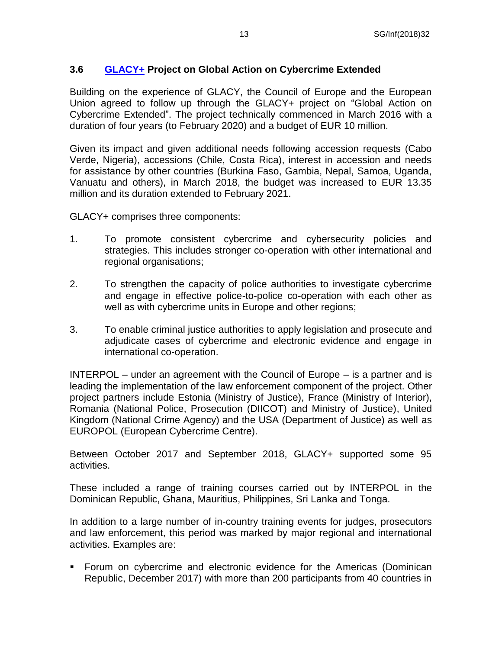### <span id="page-12-0"></span>**3.6 [GLACY+](http://www.coe.int/en/web/cybercrime/glacyplus) Project on Global Action on Cybercrime Extended**

Building on the experience of GLACY, the Council of Europe and the European Union agreed to follow up through the GLACY+ project on "Global Action on Cybercrime Extended". The project technically commenced in March 2016 with a duration of four years (to February 2020) and a budget of EUR 10 million.

Given its impact and given additional needs following accession requests (Cabo Verde, Nigeria), accessions (Chile, Costa Rica), interest in accession and needs for assistance by other countries (Burkina Faso, Gambia, Nepal, Samoa, Uganda, Vanuatu and others), in March 2018, the budget was increased to EUR 13.35 million and its duration extended to February 2021.

GLACY+ comprises three components:

- 1. To promote consistent cybercrime and cybersecurity policies and strategies. This includes stronger co-operation with other international and regional organisations;
- 2. To strengthen the capacity of police authorities to investigate cybercrime and engage in effective police-to-police co-operation with each other as well as with cybercrime units in Europe and other regions:
- 3. To enable criminal justice authorities to apply legislation and prosecute and adjudicate cases of cybercrime and electronic evidence and engage in international co-operation.

INTERPOL – under an agreement with the Council of Europe – is a partner and is leading the implementation of the law enforcement component of the project. Other project partners include Estonia (Ministry of Justice), France (Ministry of Interior), Romania (National Police, Prosecution (DIICOT) and Ministry of Justice), United Kingdom (National Crime Agency) and the USA (Department of Justice) as well as EUROPOL (European Cybercrime Centre).

Between October 2017 and September 2018, GLACY+ supported some 95 activities.

These included a range of training courses carried out by INTERPOL in the Dominican Republic, Ghana, Mauritius, Philippines, Sri Lanka and Tonga.

In addition to a large number of in-country training events for judges, prosecutors and law enforcement, this period was marked by major regional and international activities. Examples are:

 Forum on cybercrime and electronic evidence for the Americas (Dominican Republic, December 2017) with more than 200 participants from 40 countries in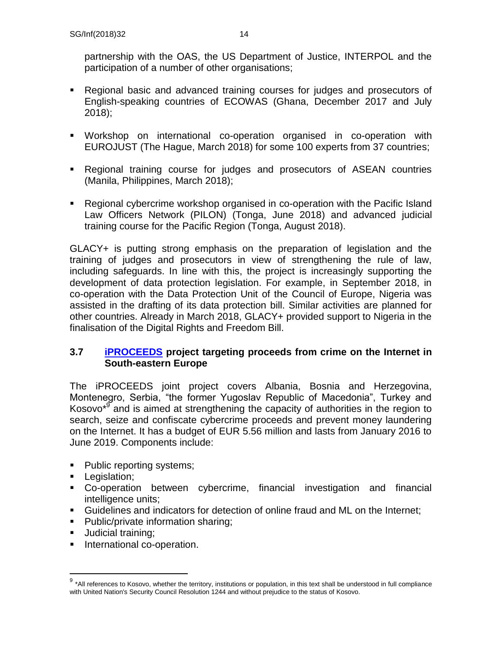partnership with the OAS, the US Department of Justice, INTERPOL and the participation of a number of other organisations;

- Regional basic and advanced training courses for judges and prosecutors of English-speaking countries of ECOWAS (Ghana, December 2017 and July 2018);
- Workshop on international co-operation organised in co-operation with EUROJUST (The Hague, March 2018) for some 100 experts from 37 countries;
- Regional training course for judges and prosecutors of ASEAN countries (Manila, Philippines, March 2018);
- Regional cybercrime workshop organised in co-operation with the Pacific Island Law Officers Network (PILON) (Tonga, June 2018) and advanced judicial training course for the Pacific Region (Tonga, August 2018).

GLACY+ is putting strong emphasis on the preparation of legislation and the training of judges and prosecutors in view of strengthening the rule of law, including safeguards. In line with this, the project is increasingly supporting the development of data protection legislation. For example, in September 2018, in co-operation with the Data Protection Unit of the Council of Europe, Nigeria was assisted in the drafting of its data protection bill. Similar activities are planned for other countries. Already in March 2018, GLACY+ provided support to Nigeria in the finalisation of the Digital Rights and Freedom Bill.

### <span id="page-13-0"></span>**3.7 [iPROCEEDS](http://www.coe.int/en/web/cybercrime/iproceeds) project targeting proceeds from crime on the Internet in South-eastern Europe**

The iPROCEEDS joint project covers Albania, Bosnia and Herzegovina, Montenegro, Serbia, "the former Yugoslav Republic of Macedonia", Turkey and Kosovo<sup>\*9</sup> and is aimed at strengthening the capacity of authorities in the region to search, seize and confiscate cybercrime proceeds and prevent money laundering on the Internet. It has a budget of EUR 5.56 million and lasts from January 2016 to June 2019. Components include:

- Public reporting systems;
- **Legislation;**
- Co-operation between cybercrime, financial investigation and financial intelligence units;
- Guidelines and indicators for detection of online fraud and ML on the Internet;
- Public/private information sharing;
- **Judicial training:**

 $\overline{a}$ 

**International co-operation.** 

 $9$  \*All references to Kosovo, whether the territory, institutions or population, in this text shall be understood in full compliance with United Nation's Security Council Resolution 1244 and without prejudice to the status of Kosovo.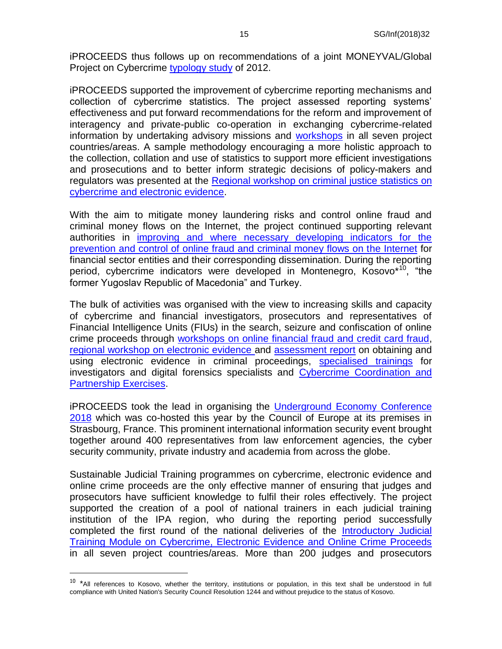iPROCEEDS thus follows up on recommendations of a joint MONEYVAL/Global Project on Cybercrime [typology study](http://www.coe.int/t/dghl/monitoring/moneyval/Activities/MONEYVAL(2013)6_Reptyp_flows_en.pdf) of 2012.

iPROCEEDS supported the improvement of cybercrime reporting mechanisms and collection of cybercrime statistics. The project assessed reporting systems' effectiveness and put forward recommendations for the reform and improvement of interagency and private-public co-operation in exchanging cybercrime-related information by undertaking advisory missions and [workshops](https://www.coe.int/en/web/cybercrime/-/iproceeds-regional-workshop-on-sharing-good-practices-on-reporting-mechanisms-in-south-eastern-europe-and-turkey) in all seven project countries/areas. A sample methodology encouraging a more holistic approach to the collection, collation and use of statistics to support more efficient investigations and prosecutions and to better inform strategic decisions of policy-makers and regulators was presented at the [Regional workshop on criminal justice statistics on](https://www.coe.int/en/web/cybercrime/-/iproceeds-regional-workshop-on-criminal-justice-statistics-on-cybercrime-and-electronic-evidence)  [cybercrime and electronic evidence.](https://www.coe.int/en/web/cybercrime/-/iproceeds-regional-workshop-on-criminal-justice-statistics-on-cybercrime-and-electronic-evidence)

With the aim to mitigate money laundering risks and control online fraud and criminal money flows on the Internet, the project continued supporting relevant authorities in [improving and where necessary developing indicators for the](https://www.coe.int/en/web/cybercrime/-/iproceeds-regional-workshop-on-guidelines-and-indicators-to-prevent-and-detect-online-crime-proceeds)  [prevention and control of online fraud and criminal money flows on the Internet](https://www.coe.int/en/web/cybercrime/-/iproceeds-regional-workshop-on-guidelines-and-indicators-to-prevent-and-detect-online-crime-proceeds) for financial sector entities and their corresponding dissemination. During the reporting period, cybercrime indicators were developed in Montenegro, Kosovo<sup>\*10</sup>, "the former Yugoslav Republic of Macedonia" and Turkey.

The bulk of activities was organised with the view to increasing skills and capacity of cybercrime and financial investigators, prosecutors and representatives of Financial Intelligence Units (FIUs) in the search, seizure and confiscation of online crime proceeds through [workshops on online financial fraud and credit card fraud,](https://www.coe.int/en/web/cybercrime/-/iproceeds-workshop-on-online-financial-fraud-and-credit-card-fraud) [regional workshop on electronic evidence a](https://www.coe.int/en/web/cybercrime/-/iproceeds-regional-workshop-on-obtaining-and-using-electronic-evidence)nd [assessment report](https://rm.coe.int/3156-52-iproceeds-electronic-evidence-report-eng/16807bdfdf) on obtaining and using electronic evidence in criminal proceedings, [specialised trainings](https://www.coe.int/en/web/cybercrime/-/iproceeds-ecteg-live-data-forensics-training) for investigators and digital forensics specialists and [Cybercrime Coordination and](https://www.coe.int/en/web/cybercrime/-/iproceeds-ecteg-live-data-forensics-training)  [Partnership Exercises.](https://www.coe.int/en/web/cybercrime/-/iproceeds-ecteg-live-data-forensics-training)

iPROCEEDS took the lead in organising the [Underground Economy Conference](https://www.coe.int/en/web/deputy-secretary-general/-/2018-underground-economy-conferen-1)  [2018](https://www.coe.int/en/web/deputy-secretary-general/-/2018-underground-economy-conferen-1) which was co-hosted this year by the Council of Europe at its premises in Strasbourg, France. This prominent international information security event brought together around 400 representatives from law enforcement agencies, the cyber security community, private industry and academia from across the globe.

Sustainable Judicial Training programmes on cybercrime, electronic evidence and online crime proceeds are the only effective manner of ensuring that judges and prosecutors have sufficient knowledge to fulfil their roles effectively. The project supported the creation of a pool of national trainers in each judicial training institution of the IPA region, who during the reporting period successfully completed the first round of the national deliveries of the [Introductory Judicial](https://www.coe.int/en/web/cybercrime/-/iproceeds-national-delivery-of-the-introductory-training-module-on-cybercrime-electronic-evidence-and-online-proceeds)  [Training Module on Cybercrime, Electronic Evidence and Online Crime Proceeds](https://www.coe.int/en/web/cybercrime/-/iproceeds-national-delivery-of-the-introductory-training-module-on-cybercrime-electronic-evidence-and-online-proceeds) in all seven project countries/areas. More than 200 judges and prosecutors

 $10$  \*All references to Kosovo, whether the territory, institutions or population, in this text shall be understood in full compliance with United Nation's Security Council Resolution 1244 and without prejudice to the status of Kosovo.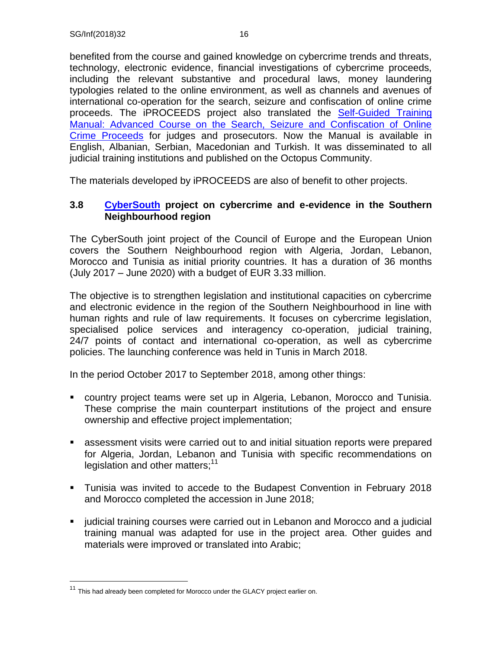benefited from the course and gained knowledge on cybercrime trends and threats, technology, electronic evidence, financial investigations of cybercrime proceeds, including the relevant substantive and procedural laws, money laundering typologies related to the online environment, as well as channels and avenues of international co-operation for the search, seizure and confiscation of online crime proceeds. The iPROCEEDS project also translated the [Self-Guided Training](https://www.coe.int/en/web/cybercrime/-/iproceeds-new-self-guided-training-manual-on-online-crime-proceeds-available-on-the-octopus-communi-1)  [Manual: Advanced Course on the Search, Seizure and Confiscation of Online](https://www.coe.int/en/web/cybercrime/-/iproceeds-new-self-guided-training-manual-on-online-crime-proceeds-available-on-the-octopus-communi-1)  [Crime Proceeds](https://www.coe.int/en/web/cybercrime/-/iproceeds-new-self-guided-training-manual-on-online-crime-proceeds-available-on-the-octopus-communi-1) for judges and prosecutors. Now the Manual is available in English, Albanian, Serbian, Macedonian and Turkish. It was disseminated to all judicial training institutions and published on the Octopus Community.

The materials developed by iPROCEEDS are also of benefit to other projects.

#### <span id="page-15-0"></span>**3.8 [CyberSouth](https://www.coe.int/en/web/cybercrime/cybersouth) project on cybercrime and e-evidence in the Southern Neighbourhood region**

The CyberSouth joint project of the Council of Europe and the European Union covers the Southern Neighbourhood region with Algeria, Jordan, Lebanon, Morocco and Tunisia as initial priority countries. It has a duration of 36 months (July 2017 – June 2020) with a budget of EUR 3.33 million.

The objective is to strengthen legislation and institutional capacities on cybercrime and electronic evidence in the region of the Southern Neighbourhood in line with human rights and rule of law requirements. It focuses on cybercrime legislation, specialised police services and interagency co-operation, judicial training, 24/7 points of contact and international co-operation, as well as cybercrime policies. The launching conference was held in Tunis in March 2018.

In the period October 2017 to September 2018, among other things:

- country project teams were set up in Algeria, Lebanon, Morocco and Tunisia. These comprise the main counterpart institutions of the project and ensure ownership and effective project implementation;
- assessment visits were carried out to and initial situation reports were prepared for Algeria, Jordan, Lebanon and Tunisia with specific recommendations on legislation and other matters; $11$
- Tunisia was invited to accede to the Budapest Convention in February 2018 and Morocco completed the accession in June 2018;
- judicial training courses were carried out in Lebanon and Morocco and a judicial training manual was adapted for use in the project area. Other guides and materials were improved or translated into Arabic;

 $11$  This had already been completed for Morocco under the GLACY project earlier on.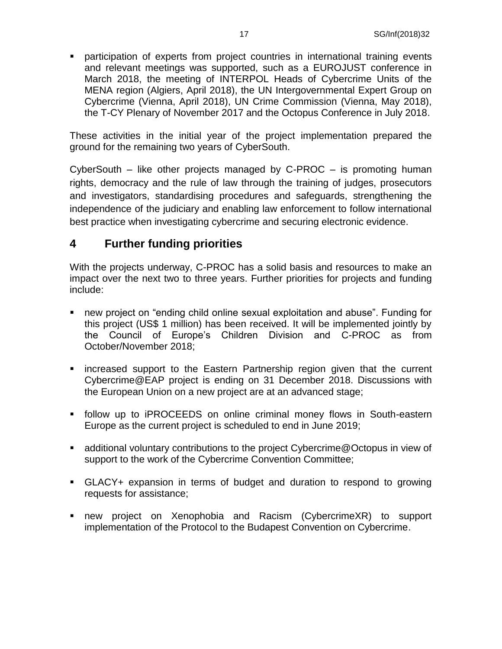participation of experts from project countries in international training events and relevant meetings was supported, such as a EUROJUST conference in March 2018, the meeting of INTERPOL Heads of Cybercrime Units of the MENA region (Algiers, April 2018), the UN Intergovernmental Expert Group on Cybercrime (Vienna, April 2018), UN Crime Commission (Vienna, May 2018), the T-CY Plenary of November 2017 and the Octopus Conference in July 2018.

These activities in the initial year of the project implementation prepared the ground for the remaining two years of CyberSouth.

CyberSouth – like other projects managed by C-PROC – is promoting human rights, democracy and the rule of law through the training of judges, prosecutors and investigators, standardising procedures and safeguards, strengthening the independence of the judiciary and enabling law enforcement to follow international best practice when investigating cybercrime and securing electronic evidence.

### <span id="page-16-0"></span>**4 Further funding priorities**

With the projects underway, C-PROC has a solid basis and resources to make an impact over the next two to three years. Further priorities for projects and funding include:

- new project on "ending child online sexual exploitation and abuse". Funding for this project (US\$ 1 million) has been received. It will be implemented jointly by the Council of Europe's Children Division and C-PROC as from October/November 2018;
- **EXT** increased support to the Eastern Partnership region given that the current Cybercrime@EAP project is ending on 31 December 2018. Discussions with the European Union on a new project are at an advanced stage;
- follow up to iPROCEEDS on online criminal money flows in South-eastern Europe as the current project is scheduled to end in June 2019;
- additional voluntary contributions to the project Cybercrime@Octopus in view of support to the work of the Cybercrime Convention Committee;
- GLACY+ expansion in terms of budget and duration to respond to growing requests for assistance;
- new project on Xenophobia and Racism (CybercrimeXR) to support implementation of the Protocol to the Budapest Convention on Cybercrime.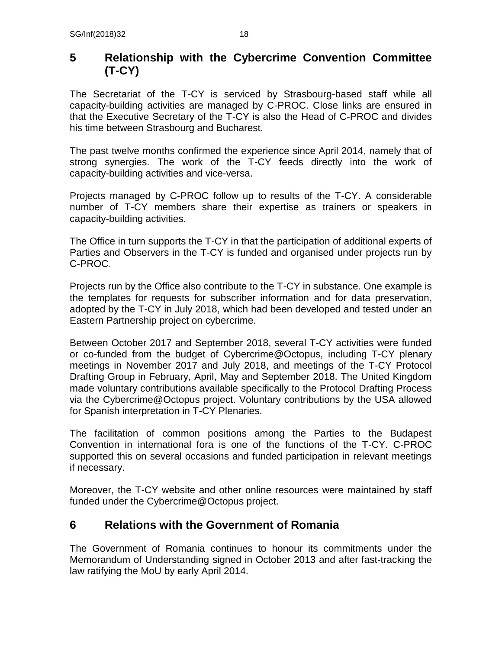## <span id="page-17-0"></span>**5 Relationship with the Cybercrime Convention Committee (T-CY)**

The Secretariat of the T-CY is serviced by Strasbourg-based staff while all capacity-building activities are managed by C-PROC. Close links are ensured in that the Executive Secretary of the T-CY is also the Head of C-PROC and divides his time between Strasbourg and Bucharest.

The past twelve months confirmed the experience since April 2014, namely that of strong synergies. The work of the T-CY feeds directly into the work of capacity-building activities and vice-versa.

Projects managed by C-PROC follow up to results of the T-CY. A considerable number of T-CY members share their expertise as trainers or speakers in capacity-building activities.

The Office in turn supports the T-CY in that the participation of additional experts of Parties and Observers in the T-CY is funded and organised under projects run by C-PROC.

Projects run by the Office also contribute to the T-CY in substance. One example is the templates for requests for subscriber information and for data preservation, adopted by the T-CY in July 2018, which had been developed and tested under an Eastern Partnership project on cybercrime.

Between October 2017 and September 2018, several T-CY activities were funded or co-funded from the budget of Cybercrime@Octopus, including T-CY plenary meetings in November 2017 and July 2018, and meetings of the T-CY Protocol Drafting Group in February, April, May and September 2018. The United Kingdom made voluntary contributions available specifically to the Protocol Drafting Process via the Cybercrime@Octopus project. Voluntary contributions by the USA allowed for Spanish interpretation in T-CY Plenaries.

The facilitation of common positions among the Parties to the Budapest Convention in international fora is one of the functions of the T-CY. C-PROC supported this on several occasions and funded participation in relevant meetings if necessary.

Moreover, the T-CY website and other online resources were maintained by staff funded under the Cybercrime@Octopus project.

## <span id="page-17-1"></span>**6 Relations with the Government of Romania**

The Government of Romania continues to honour its commitments under the Memorandum of Understanding signed in October 2013 and after fast-tracking the law ratifying the MoU by early April 2014.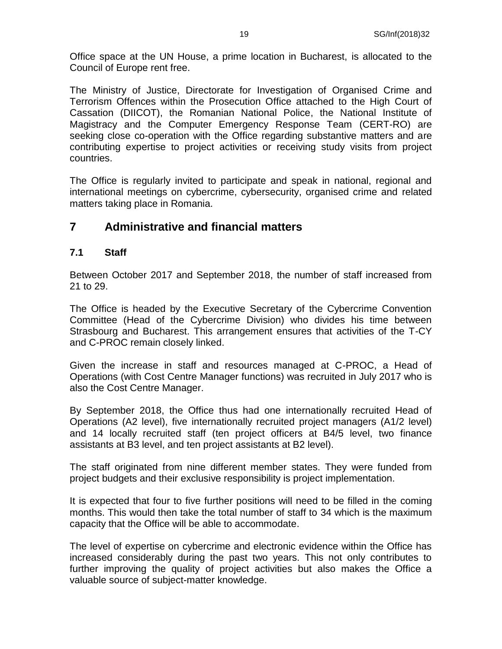Office space at the UN House, a prime location in Bucharest, is allocated to the Council of Europe rent free.

The Ministry of Justice, Directorate for Investigation of Organised Crime and Terrorism Offences within the Prosecution Office attached to the High Court of Cassation (DIICOT), the Romanian National Police, the National Institute of Magistracy and the Computer Emergency Response Team (CERT-RO) are seeking close co-operation with the Office regarding substantive matters and are contributing expertise to project activities or receiving study visits from project countries.

The Office is regularly invited to participate and speak in national, regional and international meetings on cybercrime, cybersecurity, organised crime and related matters taking place in Romania.

### <span id="page-18-0"></span>**7 Administrative and financial matters**

### <span id="page-18-1"></span>**7.1 Staff**

Between October 2017 and September 2018, the number of staff increased from 21 to 29.

The Office is headed by the Executive Secretary of the Cybercrime Convention Committee (Head of the Cybercrime Division) who divides his time between Strasbourg and Bucharest. This arrangement ensures that activities of the T-CY and C-PROC remain closely linked.

Given the increase in staff and resources managed at C-PROC, a Head of Operations (with Cost Centre Manager functions) was recruited in July 2017 who is also the Cost Centre Manager.

By September 2018, the Office thus had one internationally recruited Head of Operations (A2 level), five internationally recruited project managers (A1/2 level) and 14 locally recruited staff (ten project officers at B4/5 level, two finance assistants at B3 level, and ten project assistants at B2 level).

The staff originated from nine different member states. They were funded from project budgets and their exclusive responsibility is project implementation.

It is expected that four to five further positions will need to be filled in the coming months. This would then take the total number of staff to 34 which is the maximum capacity that the Office will be able to accommodate.

The level of expertise on cybercrime and electronic evidence within the Office has increased considerably during the past two years. This not only contributes to further improving the quality of project activities but also makes the Office a valuable source of subject-matter knowledge.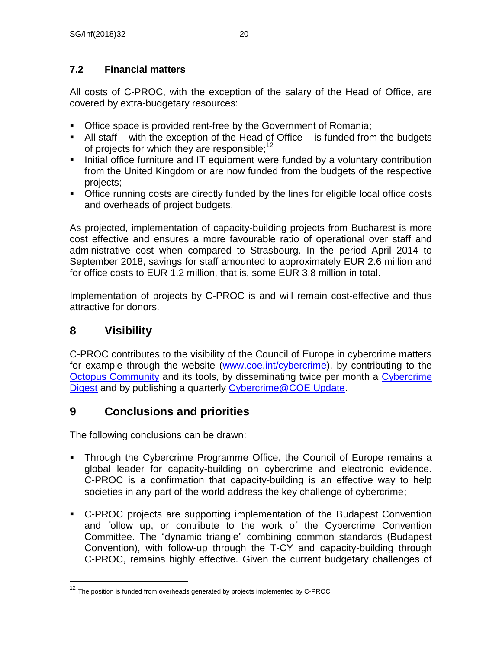## <span id="page-19-0"></span>**7.2 Financial matters**

All costs of C-PROC, with the exception of the salary of the Head of Office, are covered by extra-budgetary resources:

- **Office space is provided rent-free by the Government of Romania;**
- $\blacksquare$  All staff with the exception of the Head of Office is funded from the budgets of projects for which they are responsible;<sup>12</sup>
- Initial office furniture and IT equipment were funded by a voluntary contribution from the United Kingdom or are now funded from the budgets of the respective projects;
- **Office running costs are directly funded by the lines for eligible local office costs** and overheads of project budgets.

As projected, implementation of capacity-building projects from Bucharest is more cost effective and ensures a more favourable ratio of operational over staff and administrative cost when compared to Strasbourg. In the period April 2014 to September 2018, savings for staff amounted to approximately EUR 2.6 million and for office costs to EUR 1.2 million, that is, some EUR 3.8 million in total.

Implementation of projects by C-PROC is and will remain cost-effective and thus attractive for donors.

# <span id="page-19-1"></span>**8 Visibility**

 $\overline{a}$ 

C-PROC contributes to the visibility of the Council of Europe in cybercrime matters for example through the website [\(www.coe.int/cybercrime\)](http://www.coe.int/cybercrime), by contributing to the [Octopus Community](http://www.coe.int/en/web/octopus/home) and its tools, by disseminating twice per month a Cybercrime [Digest](http://www.coe.int/en/web/octopus/blog/-/blogs/do-you-know-about-cybercrime-digest-?_33_redirect=http%3A%2F%2Fwww.coe.int%2Fen%2Fweb%2Foctopus%2Fblog%3Fp_p_id%3D33%26p_p_lifecycle%3D0%26p_p_state%3Dnormal%26p_p_mode%3Dview%26p_p_col_id%3Dcolumn-4%26p_p_col_pos%3D2%26p_p_col_count%3D3) and by publishing a quarterly [Cybercrime@COE Update.](https://rm.coe.int/CoERMPublicCommonSearchServices/DisplayDCTMContent?documentId=0900001680693147)

# <span id="page-19-2"></span>**9 Conclusions and priorities**

The following conclusions can be drawn:

- Through the Cybercrime Programme Office, the Council of Europe remains a global leader for capacity-building on cybercrime and electronic evidence. C-PROC is a confirmation that capacity-building is an effective way to help societies in any part of the world address the key challenge of cybercrime;
- C-PROC projects are supporting implementation of the Budapest Convention and follow up, or contribute to the work of the Cybercrime Convention Committee. The "dynamic triangle" combining common standards (Budapest Convention), with follow-up through the T-CY and capacity-building through C-PROC, remains highly effective. Given the current budgetary challenges of

 $12$  The position is funded from overheads generated by projects implemented by C-PROC.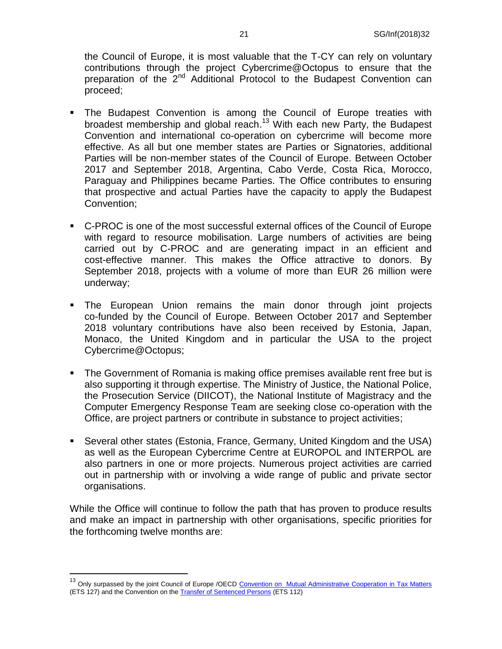the Council of Europe, it is most valuable that the T-CY can rely on voluntary contributions through the project Cybercrime@Octopus to ensure that the preparation of the 2<sup>nd</sup> Additional Protocol to the Budapest Convention can proceed;

- **The Budapest Convention is among the Council of Europe treaties with** broadest membership and global reach.<sup>13</sup> With each new Party, the Budapest Convention and international co-operation on cybercrime will become more effective. As all but one member states are Parties or Signatories, additional Parties will be non-member states of the Council of Europe. Between October 2017 and September 2018, Argentina, Cabo Verde, Costa Rica, Morocco, Paraguay and Philippines became Parties. The Office contributes to ensuring that prospective and actual Parties have the capacity to apply the Budapest Convention;
- C-PROC is one of the most successful external offices of the Council of Europe with regard to resource mobilisation. Large numbers of activities are being carried out by C-PROC and are generating impact in an efficient and cost-effective manner. This makes the Office attractive to donors. By September 2018, projects with a volume of more than EUR 26 million were underway;
- The European Union remains the main donor through joint projects co-funded by the Council of Europe. Between October 2017 and September 2018 voluntary contributions have also been received by Estonia, Japan, Monaco, the United Kingdom and in particular the USA to the project Cybercrime@Octopus;
- The Government of Romania is making office premises available rent free but is also supporting it through expertise. The Ministry of Justice, the National Police, the Prosecution Service (DIICOT), the National Institute of Magistracy and the Computer Emergency Response Team are seeking close co-operation with the Office, are project partners or contribute in substance to project activities;
- Several other states (Estonia, France, Germany, United Kingdom and the USA) as well as the European Cybercrime Centre at EUROPOL and INTERPOL are also partners in one or more projects. Numerous project activities are carried out in partnership with or involving a wide range of public and private sector organisations.

While the Office will continue to follow the path that has proven to produce results and make an impact in partnership with other organisations, specific priorities for the forthcoming twelve months are:

<sup>&</sup>lt;sup>13</sup> Only surpassed by the joint Council of Europe /OECD [Convention on Mutual Administrative Cooperation in Tax Matters](https://www.coe.int/en/web/conventions/full-list/-/conventions/treaty/127/signatures?p_auth=RbXHJ2ID) (ETS 127) and the Convention on the [Transfer of Sentenced Persons](https://www.coe.int/en/web/conventions/full-list/-/conventions/treaty/112/signatures?p_auth=RbXHJ2ID) (ETS 112)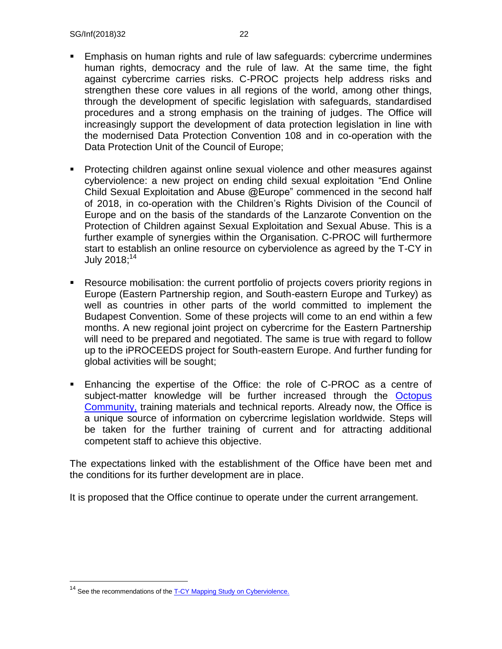- Emphasis on human rights and rule of law safeguards: cybercrime undermines human rights, democracy and the rule of law. At the same time, the fight against cybercrime carries risks. C-PROC projects help address risks and strengthen these core values in all regions of the world, among other things, through the development of specific legislation with safeguards, standardised procedures and a strong emphasis on the training of judges. The Office will increasingly support the development of data protection legislation in line with the modernised Data Protection Convention 108 and in co-operation with the Data Protection Unit of the Council of Europe;
- Protecting children against online sexual violence and other measures against cyberviolence: a new project on ending child sexual exploitation "End Online Child Sexual Exploitation and Abuse @Europe" commenced in the second half of 2018, in co-operation with the Children's Rights Division of the Council of Europe and on the basis of the standards of the Lanzarote Convention on the Protection of Children against Sexual Exploitation and Sexual Abuse. This is a further example of synergies within the Organisation. C-PROC will furthermore start to establish an online resource on cyberviolence as agreed by the T-CY in July 2018; 14
- Resource mobilisation: the current portfolio of projects covers priority regions in Europe (Eastern Partnership region, and South-eastern Europe and Turkey) as well as countries in other parts of the world committed to implement the Budapest Convention. Some of these projects will come to an end within a few months. A new regional joint project on cybercrime for the Eastern Partnership will need to be prepared and negotiated. The same is true with regard to follow up to the iPROCEEDS project for South-eastern Europe. And further funding for global activities will be sought;
- Enhancing the expertise of the Office: the role of C-PROC as a centre of subject-matter knowledge will be further increased through the Octopus [Community,](https://www.coe.int/en/web/octopus/home) training materials and technical reports. Already now, the Office is a unique source of information on cybercrime legislation worldwide. Steps will be taken for the further training of current and for attracting additional competent staff to achieve this objective.

The expectations linked with the establishment of the Office have been met and the conditions for its further development are in place.

It is proposed that the Office continue to operate under the current arrangement.

<sup>&</sup>lt;sup>14</sup> See the recommendations of th[e T-CY Mapping Study on Cyberviolence.](https://rm.coe.int/t-cy-2017-10-cbg-study-provisional/16808c4914)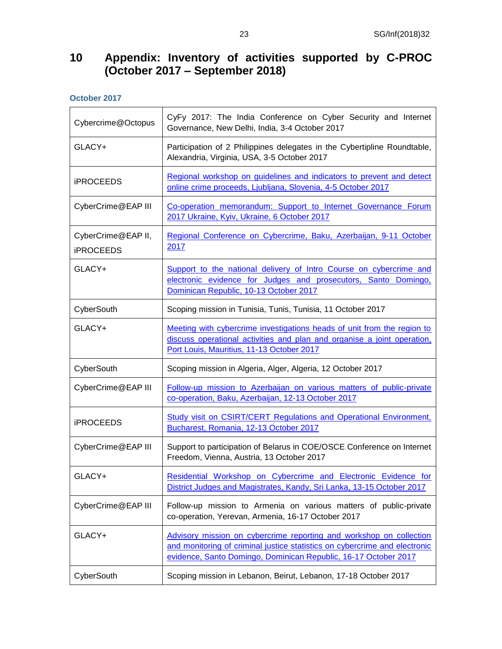### <span id="page-22-0"></span>**10 Appendix: Inventory of activities supported by C-PROC (October 2017 – September 2018)**

**October 2017**

| Cybercrime@Octopus                     | CyFy 2017: The India Conference on Cyber Security and Internet<br>Governance, New Delhi, India, 3-4 October 2017                                                                                                     |
|----------------------------------------|----------------------------------------------------------------------------------------------------------------------------------------------------------------------------------------------------------------------|
| GLACY+                                 | Participation of 2 Philippines delegates in the Cybertipline Roundtable,<br>Alexandria, Virginia, USA, 3-5 October 2017                                                                                              |
| <b>iPROCEEDS</b>                       | Regional workshop on guidelines and indicators to prevent and detect<br>online crime proceeds, Ljubljana, Slovenia, 4-5 October 2017                                                                                 |
| CyberCrime@EAP III                     | Co-operation memorandum: Support to Internet Governance Forum<br>2017 Ukraine, Kyiv, Ukraine, 6 October 2017                                                                                                         |
| CyberCrime@EAP II,<br><b>iPROCEEDS</b> | Regional Conference on Cybercrime, Baku, Azerbaijan, 9-11 October<br>2017                                                                                                                                            |
| GLACY+                                 | Support to the national delivery of Intro Course on cybercrime and<br>electronic evidence for Judges and prosecutors, Santo Domingo,<br>Dominican Republic, 10-13 October 2017                                       |
| CyberSouth                             | Scoping mission in Tunisia, Tunis, Tunisia, 11 October 2017                                                                                                                                                          |
| GLACY+                                 | Meeting with cybercrime investigations heads of unit from the region to<br>discuss operational activities and plan and organise a joint operation,<br>Port Louis, Mauritius, 11-13 October 2017                      |
| CyberSouth                             | Scoping mission in Algeria, Alger, Algeria, 12 October 2017                                                                                                                                                          |
| CyberCrime@EAP III                     | Follow-up mission to Azerbaijan on various matters of public-private<br>co-operation, Baku, Azerbaijan, 12-13 October 2017                                                                                           |
| <b>iPROCEEDS</b>                       | Study visit on CSIRT/CERT Regulations and Operational Environment,<br>Bucharest, Romania, 12-13 October 2017                                                                                                         |
| CyberCrime@EAP III                     | Support to participation of Belarus in COE/OSCE Conference on Internet<br>Freedom, Vienna, Austria, 13 October 2017                                                                                                  |
| GLACY+                                 | Residential Workshop on Cybercrime and Electronic Evidence for<br>District Judges and Magistrates, Kandy, Sri Lanka, 13-15 October 2017                                                                              |
| CyberCrime@EAP III                     | Follow-up mission to Armenia on various matters of public-private<br>co-operation, Yerevan, Armenia, 16-17 October 2017                                                                                              |
| GLACY+                                 | Advisory mission on cybercrime reporting and workshop on collection<br>and monitoring of criminal justice statistics on cybercrime and electronic<br>evidence, Santo Domingo, Dominican Republic, 16-17 October 2017 |
| CyberSouth                             | Scoping mission in Lebanon, Beirut, Lebanon, 17-18 October 2017                                                                                                                                                      |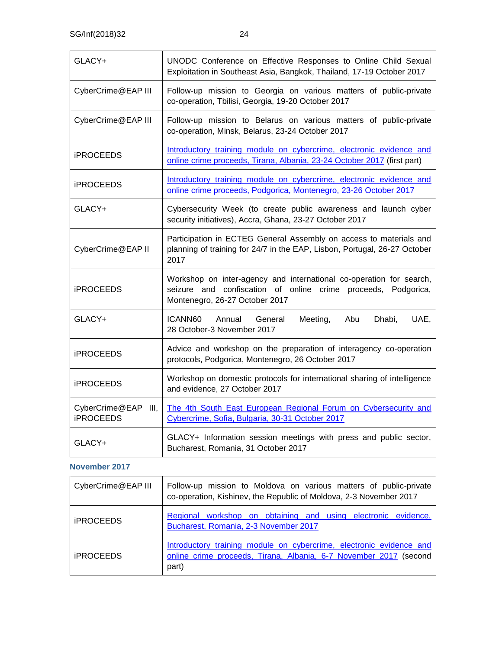| GLACY+                                  | UNODC Conference on Effective Responses to Online Child Sexual<br>Exploitation in Southeast Asia, Bangkok, Thailand, 17-19 October 2017                                |
|-----------------------------------------|------------------------------------------------------------------------------------------------------------------------------------------------------------------------|
| CyberCrime@EAP III                      | Follow-up mission to Georgia on various matters of public-private<br>co-operation, Tbilisi, Georgia, 19-20 October 2017                                                |
| CyberCrime@EAP III                      | Follow-up mission to Belarus on various matters of public-private<br>co-operation, Minsk, Belarus, 23-24 October 2017                                                  |
| <b>iPROCEEDS</b>                        | Introductory training module on cybercrime, electronic evidence and<br>online crime proceeds, Tirana, Albania, 23-24 October 2017 (first part)                         |
| <b>iPROCEEDS</b>                        | Introductory training module on cybercrime, electronic evidence and<br>online crime proceeds, Podgorica, Montenegro, 23-26 October 2017                                |
| GLACY+                                  | Cybersecurity Week (to create public awareness and launch cyber<br>security initiatives), Accra, Ghana, 23-27 October 2017                                             |
| CyberCrime@EAP II                       | Participation in ECTEG General Assembly on access to materials and<br>planning of training for 24/7 in the EAP, Lisbon, Portugal, 26-27 October<br>2017                |
| <b>iPROCEEDS</b>                        | Workshop on inter-agency and international co-operation for search,<br>seizure and confiscation of online crime proceeds, Podgorica,<br>Montenegro, 26-27 October 2017 |
| GLACY+                                  | ICANN60<br>Annual<br>Meeting,<br>Abu<br>Dhabi,<br>UAE,<br>General<br>28 October-3 November 2017                                                                        |
| <b>iPROCEEDS</b>                        | Advice and workshop on the preparation of interagency co-operation<br>protocols, Podgorica, Montenegro, 26 October 2017                                                |
| <b>iPROCEEDS</b>                        | Workshop on domestic protocols for international sharing of intelligence<br>and evidence, 27 October 2017                                                              |
| CyberCrime@EAP III,<br><b>iPROCEEDS</b> | The 4th South East European Regional Forum on Cybersecurity and<br>Cybercrime, Sofia, Bulgaria, 30-31 October 2017                                                     |
| GLACY+                                  | GLACY+ Information session meetings with press and public sector,<br>Bucharest, Romania, 31 October 2017                                                               |

#### **November 2017**

| CyberCrime@EAP III      | Follow-up mission to Moldova on various matters of public-private<br>co-operation, Kishinev, the Republic of Moldova, 2-3 November 2017           |
|-------------------------|---------------------------------------------------------------------------------------------------------------------------------------------------|
| <b><i>IPROCEEDS</i></b> | Regional workshop on obtaining and using electronic evidence,<br>Bucharest, Romania, 2-3 November 2017                                            |
| <b><i>IPROCEEDS</i></b> | Introductory training module on cybercrime, electronic evidence and<br>online crime proceeds, Tirana, Albania, 6-7 November 2017 (second<br>part) |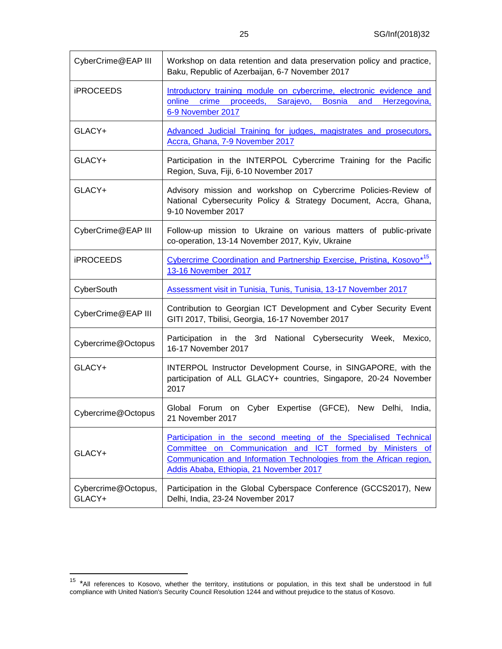25 SG/Inf(2018)32

| CyberCrime@EAP III            | Workshop on data retention and data preservation policy and practice,<br>Baku, Republic of Azerbaijan, 6-7 November 2017                                                                                                                           |
|-------------------------------|----------------------------------------------------------------------------------------------------------------------------------------------------------------------------------------------------------------------------------------------------|
| <b>iPROCEEDS</b>              | Introductory training module on cybercrime, electronic evidence and<br>crime proceeds,<br>Sarajevo,<br><b>Bosnia</b><br>online<br>and<br>Herzegovina,<br>6-9 November 2017                                                                         |
| GLACY+                        | Advanced Judicial Training for judges, magistrates and prosecutors,<br>Accra, Ghana, 7-9 November 2017                                                                                                                                             |
| GLACY+                        | Participation in the INTERPOL Cybercrime Training for the Pacific<br>Region, Suva, Fiji, 6-10 November 2017                                                                                                                                        |
| GLACY+                        | Advisory mission and workshop on Cybercrime Policies-Review of<br>National Cybersecurity Policy & Strategy Document, Accra, Ghana,<br>9-10 November 2017                                                                                           |
| CyberCrime@EAP III            | Follow-up mission to Ukraine on various matters of public-private<br>co-operation, 13-14 November 2017, Kyiv, Ukraine                                                                                                                              |
| <b>iPROCEEDS</b>              | Cybercrime Coordination and Partnership Exercise, Pristina, Kosovo <sup>*15</sup> ,<br>13-16 November 2017                                                                                                                                         |
| CyberSouth                    | Assessment visit in Tunisia, Tunis, Tunisia, 13-17 November 2017                                                                                                                                                                                   |
| CyberCrime@EAP III            | Contribution to Georgian ICT Development and Cyber Security Event<br>GITI 2017, Tbilisi, Georgia, 16-17 November 2017                                                                                                                              |
| Cybercrime@Octopus            | Participation in the 3rd National Cybersecurity Week,<br>Mexico,<br>16-17 November 2017                                                                                                                                                            |
| GLACY+                        | INTERPOL Instructor Development Course, in SINGAPORE, with the<br>participation of ALL GLACY+ countries, Singapore, 20-24 November<br>2017                                                                                                         |
| Cybercrime@Octopus            | Global Forum on Cyber Expertise (GFCE), New Delhi,<br>India,<br>21 November 2017                                                                                                                                                                   |
| GLACY+                        | Participation in the second meeting of the Specialised Technical<br>Communication and ICT formed by Ministers of<br>Committee on<br>Communication and Information Technologies from the African region,<br>Addis Ababa, Ethiopia, 21 November 2017 |
| Cybercrime@Octopus,<br>GLACY+ | Participation in the Global Cyberspace Conference (GCCS2017), New<br>Delhi, India, 23-24 November 2017                                                                                                                                             |

<sup>&</sup>lt;sup>15</sup> \*All references to Kosovo, whether the territory, institutions or population, in this text shall be understood in full compliance with United Nation's Security Council Resolution 1244 and without prejudice to the status of Kosovo.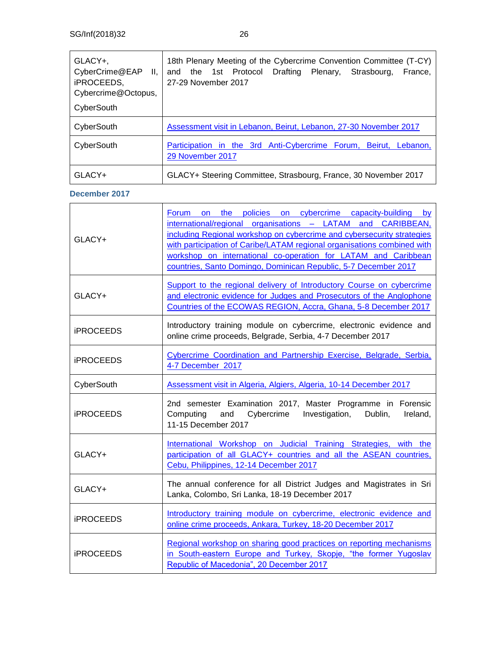| GLACY+,<br>CyberCrime@EAP II,<br>iPROCEEDS,<br>Cybercrime@Octopus, | 18th Plenary Meeting of the Cybercrime Convention Committee (T-CY)<br>and the 1st Protocol<br>Drafting Plenary,<br>Strasbourg,<br>France.<br>27-29 November 2017 |
|--------------------------------------------------------------------|------------------------------------------------------------------------------------------------------------------------------------------------------------------|
| CyberSouth                                                         |                                                                                                                                                                  |
| CyberSouth                                                         | Assessment visit in Lebanon, Beirut, Lebanon, 27-30 November 2017                                                                                                |
| CyberSouth                                                         | Participation in the 3rd Anti-Cybercrime Forum, Beirut, Lebanon,<br>29 November 2017                                                                             |
| GLACY+                                                             | GLACY+ Steering Committee, Strasbourg, France, 30 November 2017                                                                                                  |

#### **December 2017**

| GLACY+           | Forum on the policies on cybercrime capacity-building by<br>international/regional organisations - LATAM and CARIBBEAN,<br>including Regional workshop on cybercrime and cybersecurity strategies<br>with participation of Caribe/LATAM regional organisations combined with<br>workshop on international co-operation for LATAM and Caribbean<br>countries, Santo Domingo, Dominican Republic, 5-7 December 2017 |
|------------------|-------------------------------------------------------------------------------------------------------------------------------------------------------------------------------------------------------------------------------------------------------------------------------------------------------------------------------------------------------------------------------------------------------------------|
| GLACY+           | Support to the regional delivery of Introductory Course on cybercrime<br>and electronic evidence for Judges and Prosecutors of the Anglophone<br>Countries of the ECOWAS REGION, Accra, Ghana, 5-8 December 2017                                                                                                                                                                                                  |
| <b>iPROCEEDS</b> | Introductory training module on cybercrime, electronic evidence and<br>online crime proceeds, Belgrade, Serbia, 4-7 December 2017                                                                                                                                                                                                                                                                                 |
| <b>iPROCEEDS</b> | Cybercrime Coordination and Partnership Exercise, Belgrade, Serbia,<br>4-7 December 2017                                                                                                                                                                                                                                                                                                                          |
| CyberSouth       | Assessment visit in Algeria, Algiers, Algeria, 10-14 December 2017                                                                                                                                                                                                                                                                                                                                                |
| <b>iPROCEEDS</b> | 2nd semester Examination 2017, Master Programme in Forensic<br>Computing and<br>Cybercrime<br>Investigation,<br>Dublin,<br>Ireland,<br>11-15 December 2017                                                                                                                                                                                                                                                        |
| GLACY+           | International Workshop on Judicial Training Strategies, with the<br>participation of all GLACY+ countries and all the ASEAN countries,<br>Cebu, Philippines, 12-14 December 2017                                                                                                                                                                                                                                  |
| GLACY+           | The annual conference for all District Judges and Magistrates in Sri<br>Lanka, Colombo, Sri Lanka, 18-19 December 2017                                                                                                                                                                                                                                                                                            |
| <b>iPROCEEDS</b> | Introductory training module on cybercrime, electronic evidence and<br>online crime proceeds, Ankara, Turkey, 18-20 December 2017                                                                                                                                                                                                                                                                                 |
| <b>iPROCEEDS</b> | Regional workshop on sharing good practices on reporting mechanisms<br>in South-eastern Europe and Turkey, Skopje, "the former Yugoslav<br>Republic of Macedonia", 20 December 2017                                                                                                                                                                                                                               |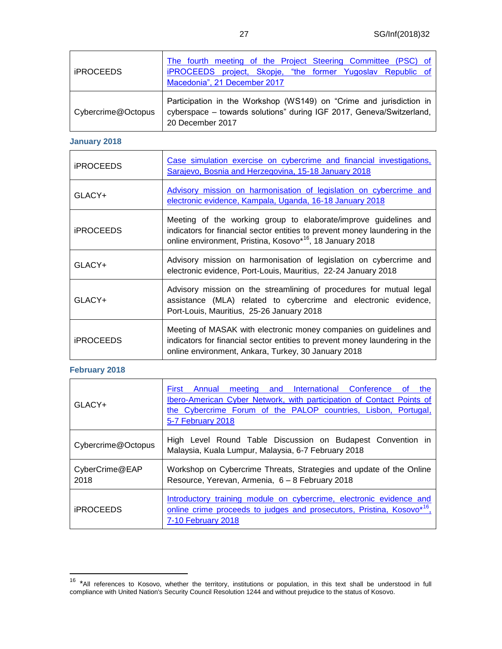| <b>iPROCEEDS</b>   | The fourth meeting of the Project Steering Committee (PSC) of<br>iPROCEEDS project, Skopje, "the former Yugoslav Republic of<br>Macedonia", 21 December 2017    |
|--------------------|-----------------------------------------------------------------------------------------------------------------------------------------------------------------|
| Cybercrime@Octopus | Participation in the Workshop (WS149) on "Crime and jurisdiction in<br>cyberspace - towards solutions" during IGF 2017, Geneva/Switzerland,<br>20 December 2017 |

#### **January 2018**

| <b>iPROCEEDS</b> | Case simulation exercise on cybercrime and financial investigations,<br>Sarajevo, Bosnia and Herzegovina, 15-18 January 2018                                                                                             |
|------------------|--------------------------------------------------------------------------------------------------------------------------------------------------------------------------------------------------------------------------|
| GLACY+           | Advisory mission on harmonisation of legislation on cybercrime and<br>electronic evidence, Kampala, Uganda, 16-18 January 2018                                                                                           |
| <b>iPROCEEDS</b> | Meeting of the working group to elaborate/improve guidelines and<br>indicators for financial sector entities to prevent money laundering in the<br>online environment, Pristina, Kosovo* <sup>16</sup> , 18 January 2018 |
| GLACY+           | Advisory mission on harmonisation of legislation on cybercrime and<br>electronic evidence, Port-Louis, Mauritius, 22-24 January 2018                                                                                     |
| $GLACY+$         | Advisory mission on the streamlining of procedures for mutual legal<br>assistance (MLA) related to cybercrime and electronic evidence,<br>Port-Louis, Mauritius, 25-26 January 2018                                      |
| <b>iPROCEEDS</b> | Meeting of MASAK with electronic money companies on guidelines and<br>indicators for financial sector entities to prevent money laundering in the<br>online environment, Ankara, Turkey, 30 January 2018                 |

#### **February 2018**

| $GLACY+$                | meeting and International Conference<br>First<br>Annual<br>the<br>0t<br>Ibero-American Cyber Network, with participation of Contact Points of<br>the Cybercrime Forum of the PALOP countries, Lisbon, Portugal,<br>5-7 February 2018 |
|-------------------------|--------------------------------------------------------------------------------------------------------------------------------------------------------------------------------------------------------------------------------------|
| Cybercrime@Octopus      | High Level Round Table Discussion on Budapest Convention in<br>Malaysia, Kuala Lumpur, Malaysia, 6-7 February 2018                                                                                                                   |
| CyberCrime@EAP<br>2018  | Workshop on Cybercrime Threats, Strategies and update of the Online<br>Resource, Yerevan, Armenia, 6 - 8 February 2018                                                                                                               |
| <b><i>IPROCEEDS</i></b> | Introductory training module on cybercrime, electronic evidence and<br>online crime proceeds to judges and prosecutors, Pristina, Kosovo <sup>*16</sup> .<br>7-10 February 2018                                                      |

<sup>&</sup>lt;sup>16</sup> \*All references to Kosovo, whether the territory, institutions or population, in this text shall be understood in full compliance with United Nation's Security Council Resolution 1244 and without prejudice to the status of Kosovo.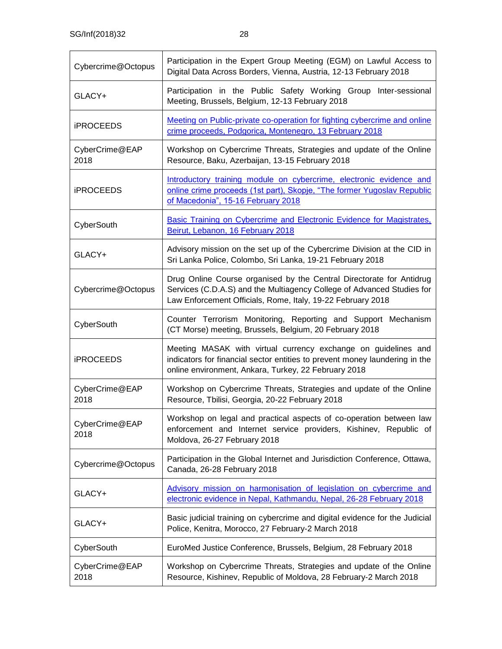| Cybercrime@Octopus     | Participation in the Expert Group Meeting (EGM) on Lawful Access to<br>Digital Data Across Borders, Vienna, Austria, 12-13 February 2018                                                                      |
|------------------------|---------------------------------------------------------------------------------------------------------------------------------------------------------------------------------------------------------------|
| GLACY+                 | Participation in the Public Safety Working Group Inter-sessional<br>Meeting, Brussels, Belgium, 12-13 February 2018                                                                                           |
| <b>iPROCEEDS</b>       | Meeting on Public-private co-operation for fighting cybercrime and online<br>crime proceeds, Podgorica, Montenegro, 13 February 2018                                                                          |
| CyberCrime@EAP<br>2018 | Workshop on Cybercrime Threats, Strategies and update of the Online<br>Resource, Baku, Azerbaijan, 13-15 February 2018                                                                                        |
| <b>iPROCEEDS</b>       | Introductory training module on cybercrime, electronic evidence and<br>online crime proceeds (1st part), Skopje, "The former Yugoslav Republic<br>of Macedonia", 15-16 February 2018                          |
| CyberSouth             | Basic Training on Cybercrime and Electronic Evidence for Magistrates,<br>Beirut, Lebanon, 16 February 2018                                                                                                    |
| GLACY+                 | Advisory mission on the set up of the Cybercrime Division at the CID in<br>Sri Lanka Police, Colombo, Sri Lanka, 19-21 February 2018                                                                          |
| Cybercrime@Octopus     | Drug Online Course organised by the Central Directorate for Antidrug<br>Services (C.D.A.S) and the Multiagency College of Advanced Studies for<br>Law Enforcement Officials, Rome, Italy, 19-22 February 2018 |
| CyberSouth             | Counter Terrorism Monitoring, Reporting and Support Mechanism<br>(CT Morse) meeting, Brussels, Belgium, 20 February 2018                                                                                      |
| <b>iPROCEEDS</b>       | Meeting MASAK with virtual currency exchange on guidelines and<br>indicators for financial sector entities to prevent money laundering in the<br>online environment, Ankara, Turkey, 22 February 2018         |
| CyberCrime@EAP<br>2018 | Workshop on Cybercrime Threats, Strategies and update of the Online<br>Resource, Tbilisi, Georgia, 20-22 February 2018                                                                                        |
| CyberCrime@EAP<br>2018 | Workshop on legal and practical aspects of co-operation between law<br>enforcement and Internet service providers, Kishinev, Republic of<br>Moldova, 26-27 February 2018                                      |
| Cybercrime@Octopus     | Participation in the Global Internet and Jurisdiction Conference, Ottawa,<br>Canada, 26-28 February 2018                                                                                                      |
| GLACY+                 | Advisory mission on harmonisation of legislation on cybercrime and<br>electronic evidence in Nepal, Kathmandu, Nepal, 26-28 February 2018                                                                     |
| GLACY+                 | Basic judicial training on cybercrime and digital evidence for the Judicial<br>Police, Kenitra, Morocco, 27 February-2 March 2018                                                                             |
| CyberSouth             | EuroMed Justice Conference, Brussels, Belgium, 28 February 2018                                                                                                                                               |
| CyberCrime@EAP<br>2018 | Workshop on Cybercrime Threats, Strategies and update of the Online<br>Resource, Kishinev, Republic of Moldova, 28 February-2 March 2018                                                                      |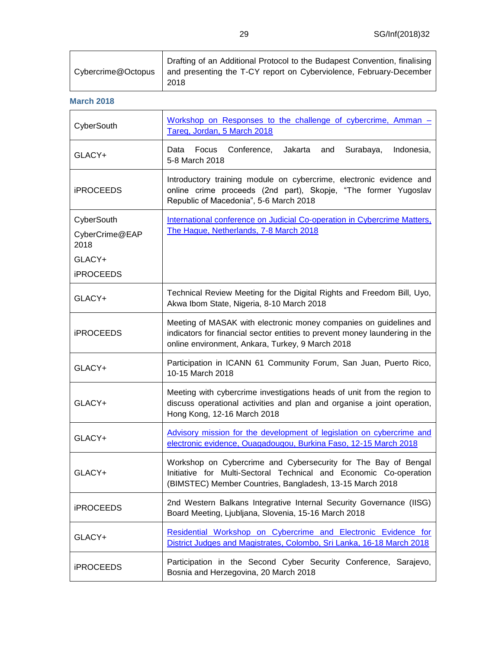**March 2018**

| CyberSouth             | Workshop on Responses to the challenge of cybercrime, Amman -<br>Tareg, Jordan, 5 March 2018                                                                                                          |
|------------------------|-------------------------------------------------------------------------------------------------------------------------------------------------------------------------------------------------------|
| GLACY+                 | Focus<br>Conference,<br>Jakarta<br>and<br>Surabaya,<br>Indonesia,<br>Data<br>5-8 March 2018                                                                                                           |
| <b>iPROCEEDS</b>       | Introductory training module on cybercrime, electronic evidence and<br>online crime proceeds (2nd part), Skopje, "The former Yugoslav<br>Republic of Macedonia", 5-6 March 2018                       |
| CyberSouth             | International conference on Judicial Co-operation in Cybercrime Matters,                                                                                                                              |
| CyberCrime@EAP<br>2018 | The Hague, Netherlands, 7-8 March 2018                                                                                                                                                                |
| GLACY+                 |                                                                                                                                                                                                       |
| <b>iPROCEEDS</b>       |                                                                                                                                                                                                       |
| GLACY+                 | Technical Review Meeting for the Digital Rights and Freedom Bill, Uyo,<br>Akwa Ibom State, Nigeria, 8-10 March 2018                                                                                   |
| <b>iPROCEEDS</b>       | Meeting of MASAK with electronic money companies on guidelines and<br>indicators for financial sector entities to prevent money laundering in the<br>online environment, Ankara, Turkey, 9 March 2018 |
| GLACY+                 | Participation in ICANN 61 Community Forum, San Juan, Puerto Rico,<br>10-15 March 2018                                                                                                                 |
| GLACY+                 | Meeting with cybercrime investigations heads of unit from the region to<br>discuss operational activities and plan and organise a joint operation,<br>Hong Kong, 12-16 March 2018                     |
| GLACY+                 | Advisory mission for the development of legislation on cybercrime and<br>electronic evidence, Ouagadougou, Burkina Faso, 12-15 March 2018                                                             |
| GLACY+                 | Workshop on Cybercrime and Cybersecurity for The Bay of Bengal<br>Initiative for Multi-Sectoral Technical and Economic Co-operation<br>(BIMSTEC) Member Countries, Bangladesh, 13-15 March 2018       |
| <b>iPROCEEDS</b>       | 2nd Western Balkans Integrative Internal Security Governance (IISG)<br>Board Meeting, Ljubljana, Slovenia, 15-16 March 2018                                                                           |
| GLACY+                 | Residential Workshop on Cybercrime and Electronic Evidence for<br>District Judges and Magistrates, Colombo, Sri Lanka, 16-18 March 2018                                                               |
| <b>iPROCEEDS</b>       | Participation in the Second Cyber Security Conference, Sarajevo,<br>Bosnia and Herzegovina, 20 March 2018                                                                                             |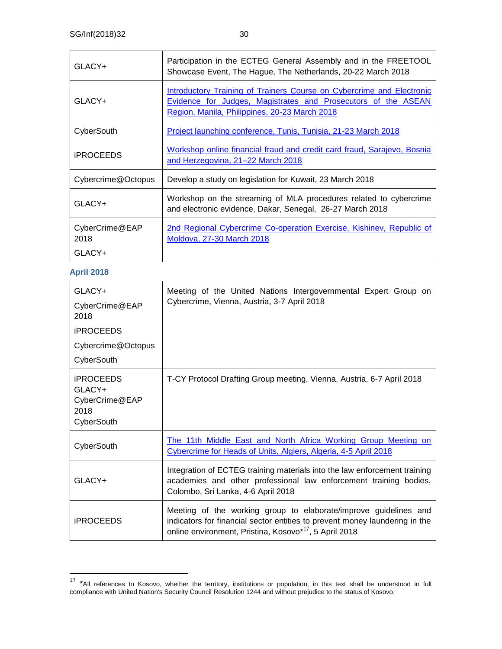| GLACY+                           | Participation in the ECTEG General Assembly and in the FREETOOL<br>Showcase Event, The Hague, The Netherlands, 20-22 March 2018                                                         |
|----------------------------------|-----------------------------------------------------------------------------------------------------------------------------------------------------------------------------------------|
| GLACY+                           | Introductory Training of Trainers Course on Cybercrime and Electronic<br>Evidence for Judges, Magistrates and Prosecutors of the ASEAN<br>Region, Manila, Philippines, 20-23 March 2018 |
| CyberSouth                       | Project launching conference, Tunis, Tunisia, 21-23 March 2018                                                                                                                          |
| <b>iPROCEEDS</b>                 | Workshop online financial fraud and credit card fraud, Sarajevo, Bosnia<br>and Herzegovina, 21-22 March 2018                                                                            |
| Cybercrime@Octopus               | Develop a study on legislation for Kuwait, 23 March 2018                                                                                                                                |
| GLACY+                           | Workshop on the streaming of MLA procedures related to cybercrime<br>and electronic evidence, Dakar, Senegal, 26-27 March 2018                                                          |
| CyberCrime@EAP<br>2018<br>GLACY+ | 2nd Regional Cybercrime Co-operation Exercise, Kishinev, Republic of<br>Moldova, 27-30 March 2018                                                                                       |

#### **April 2018**

| GLACY+<br>CyberCrime@EAP<br>2018<br><b>iPROCEEDS</b><br>Cybercrime@Octopus<br>CyberSouth | Meeting of the United Nations Intergovernmental Expert Group on<br>Cybercrime, Vienna, Austria, 3-7 April 2018                                                                                                        |
|------------------------------------------------------------------------------------------|-----------------------------------------------------------------------------------------------------------------------------------------------------------------------------------------------------------------------|
| <b>iPROCEEDS</b>                                                                         | T-CY Protocol Drafting Group meeting, Vienna, Austria, 6-7 April 2018                                                                                                                                                 |
| GLACY+<br>CyberCrime@EAP<br>2018<br>CyberSouth                                           |                                                                                                                                                                                                                       |
| CyberSouth                                                                               | The 11th Middle East and North Africa Working Group Meeting on<br>Cybercrime for Heads of Units, Algiers, Algeria, 4-5 April 2018                                                                                     |
| GLACY+                                                                                   | Integration of ECTEG training materials into the law enforcement training<br>academies and other professional law enforcement training bodies,<br>Colombo, Sri Lanka, 4-6 April 2018                                  |
| <b>iPROCEEDS</b>                                                                         | Meeting of the working group to elaborate/improve guidelines and<br>indicators for financial sector entities to prevent money laundering in the<br>online environment, Pristina, Kosovo* <sup>17</sup> , 5 April 2018 |

<sup>&</sup>lt;sup>17</sup> \*All references to Kosovo, whether the territory, institutions or population, in this text shall be understood in full compliance with United Nation's Security Council Resolution 1244 and without prejudice to the status of Kosovo.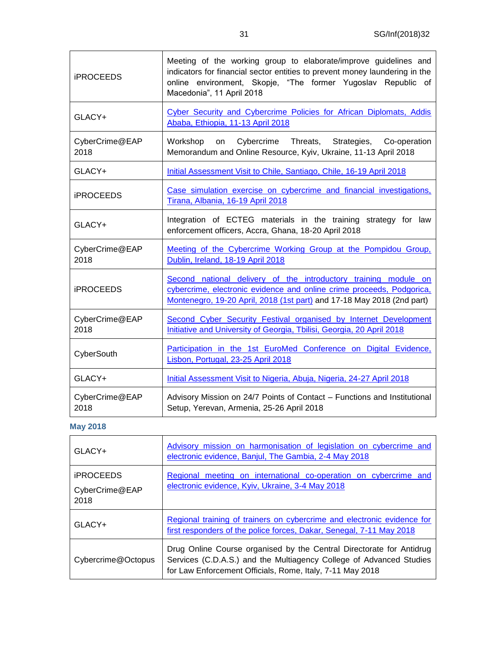| <b>iPROCEEDS</b>       | Meeting of the working group to elaborate/improve guidelines and<br>indicators for financial sector entities to prevent money laundering in the<br>online environment, Skopje, "The former Yugoslav Republic of<br>Macedonia", 11 April 2018 |
|------------------------|----------------------------------------------------------------------------------------------------------------------------------------------------------------------------------------------------------------------------------------------|
| GLACY+                 | Cyber Security and Cybercrime Policies for African Diplomats, Addis<br>Ababa, Ethiopia, 11-13 April 2018                                                                                                                                     |
| CyberCrime@EAP<br>2018 | Cybercrime<br>Workshop<br>on<br>Threats, Strategies,<br>Co-operation<br>Memorandum and Online Resource, Kyiv, Ukraine, 11-13 April 2018                                                                                                      |
| GLACY+                 | Initial Assessment Visit to Chile, Santiago, Chile, 16-19 April 2018                                                                                                                                                                         |
| <b>iPROCEEDS</b>       | Case simulation exercise on cybercrime and financial investigations,<br>Tirana, Albania, 16-19 April 2018                                                                                                                                    |
| GLACY+                 | Integration of ECTEG materials in the training strategy for law<br>enforcement officers, Accra, Ghana, 18-20 April 2018                                                                                                                      |
| CyberCrime@EAP<br>2018 | Meeting of the Cybercrime Working Group at the Pompidou Group.<br>Dublin, Ireland, 18-19 April 2018                                                                                                                                          |
| <b>iPROCEEDS</b>       | Second national delivery of the introductory training module on<br>cybercrime, electronic evidence and online crime proceeds, Podgorica,<br>Montenegro, 19-20 April, 2018 (1st part) and 17-18 May 2018 (2nd part)                           |
| CyberCrime@EAP<br>2018 | Second Cyber Security Festival organised by Internet Development<br>Initiative and University of Georgia, Tbilisi, Georgia, 20 April 2018                                                                                                    |
| CyberSouth             | Participation in the 1st EuroMed Conference on Digital Evidence,<br>Lisbon, Portugal, 23-25 April 2018                                                                                                                                       |
| GLACY+                 | Initial Assessment Visit to Nigeria, Abuja, Nigeria, 24-27 April 2018                                                                                                                                                                        |
| CyberCrime@EAP<br>2018 | Advisory Mission on 24/7 Points of Contact - Functions and Institutional<br>Setup, Yerevan, Armenia, 25-26 April 2018                                                                                                                        |

## **May 2018**

| $GLACY+$                                          | Advisory mission on harmonisation of legislation on cybercrime and<br>electronic evidence, Banjul, The Gambia, 2-4 May 2018                                                                              |
|---------------------------------------------------|----------------------------------------------------------------------------------------------------------------------------------------------------------------------------------------------------------|
| <b><i>IPROCEEDS</i></b><br>CyberCrime@EAP<br>2018 | Regional meeting on international co-operation on cybercrime and<br>electronic evidence, Kyiv, Ukraine, 3-4 May 2018                                                                                     |
| GLACY+                                            | Regional training of trainers on cybercrime and electronic evidence for<br>first responders of the police forces, Dakar, Senegal, 7-11 May 2018                                                          |
| Cybercrime@Octopus                                | Drug Online Course organised by the Central Directorate for Antidrug<br>Services (C.D.A.S.) and the Multiagency College of Advanced Studies<br>for Law Enforcement Officials, Rome, Italy, 7-11 May 2018 |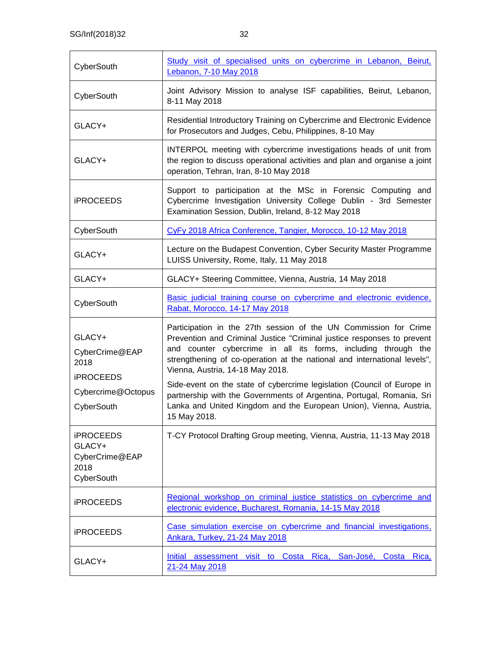| CyberSouth                                                         | Study visit of specialised units on cybercrime in Lebanon, Beirut,<br><b>Lebanon, 7-10 May 2018</b>                                                                                                                                                                                                                          |
|--------------------------------------------------------------------|------------------------------------------------------------------------------------------------------------------------------------------------------------------------------------------------------------------------------------------------------------------------------------------------------------------------------|
| CyberSouth                                                         | Joint Advisory Mission to analyse ISF capabilities, Beirut, Lebanon,<br>8-11 May 2018                                                                                                                                                                                                                                        |
| GLACY+                                                             | Residential Introductory Training on Cybercrime and Electronic Evidence<br>for Prosecutors and Judges, Cebu, Philippines, 8-10 May                                                                                                                                                                                           |
| GLACY+                                                             | INTERPOL meeting with cybercrime investigations heads of unit from<br>the region to discuss operational activities and plan and organise a joint<br>operation, Tehran, Iran, 8-10 May 2018                                                                                                                                   |
| <b>iPROCEEDS</b>                                                   | Support to participation at the MSc in Forensic Computing and<br>Cybercrime Investigation University College Dublin - 3rd Semester<br>Examination Session, Dublin, Ireland, 8-12 May 2018                                                                                                                                    |
| CyberSouth                                                         | CyFy 2018 Africa Conference, Tangier, Morocco, 10-12 May 2018                                                                                                                                                                                                                                                                |
| GLACY+                                                             | Lecture on the Budapest Convention, Cyber Security Master Programme<br>LUISS University, Rome, Italy, 11 May 2018                                                                                                                                                                                                            |
| GLACY+                                                             | GLACY+ Steering Committee, Vienna, Austria, 14 May 2018                                                                                                                                                                                                                                                                      |
| CyberSouth                                                         | Basic judicial training course on cybercrime and electronic evidence,<br>Rabat, Morocco, 14-17 May 2018                                                                                                                                                                                                                      |
| GLACY+<br>CyberCrime@EAP<br>2018<br><b>iPROCEEDS</b>               | Participation in the 27th session of the UN Commission for Crime<br>Prevention and Criminal Justice "Criminal justice responses to prevent<br>and counter cybercrime in all its forms, including through the<br>strengthening of co-operation at the national and international levels",<br>Vienna, Austria, 14-18 May 2018. |
| Cybercrime@Octopus<br>CyberSouth                                   | Side-event on the state of cybercrime legislation (Council of Europe in<br>partnership with the Governments of Argentina, Portugal, Romania, Sri<br>Lanka and United Kingdom and the European Union), Vienna, Austria,<br>15 May 2018.                                                                                       |
| <b>iPROCEEDS</b><br>GLACY+<br>CyberCrime@EAP<br>2018<br>CyberSouth | T-CY Protocol Drafting Group meeting, Vienna, Austria, 11-13 May 2018                                                                                                                                                                                                                                                        |
| <b>iPROCEEDS</b>                                                   | Regional workshop on criminal justice statistics on cybercrime and<br>electronic evidence, Bucharest, Romania, 14-15 May 2018                                                                                                                                                                                                |
| <b>iPROCEEDS</b>                                                   | Case simulation exercise on cybercrime and financial investigations,<br>Ankara, Turkey, 21-24 May 2018                                                                                                                                                                                                                       |
| GLACY+                                                             | Costa Rica,<br>Initial assessment visit to<br><u>San-José, Costa</u><br>Rica,<br>21-24 May 2018                                                                                                                                                                                                                              |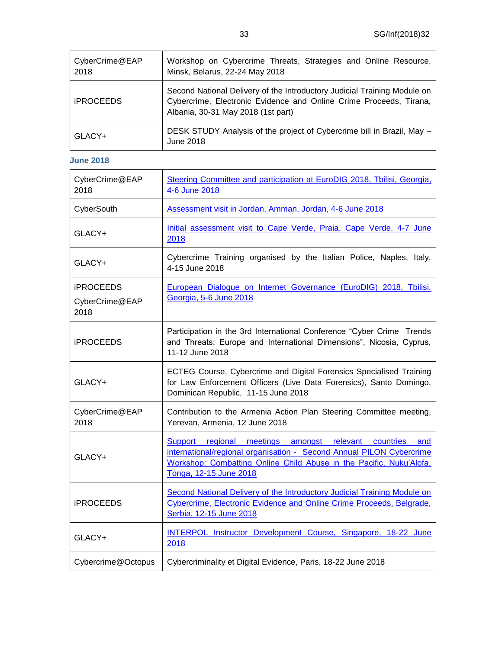| CyberCrime@EAP<br>2018 | Workshop on Cybercrime Threats, Strategies and Online Resource,<br>Minsk, Belarus, 22-24 May 2018                                                                                    |
|------------------------|--------------------------------------------------------------------------------------------------------------------------------------------------------------------------------------|
| <b>iPROCEEDS</b>       | Second National Delivery of the Introductory Judicial Training Module on<br>Cybercrime, Electronic Evidence and Online Crime Proceeds, Tirana,<br>Albania, 30-31 May 2018 (1st part) |
| GLACY+                 | DESK STUDY Analysis of the project of Cybercrime bill in Brazil, May -<br>June 2018                                                                                                  |

#### **June 2018**

| CyberCrime@EAP<br>2018                     | Steering Committee and participation at EuroDIG 2018, Tbilisi, Georgia,<br>4-6 June 2018                                                                                                                                             |
|--------------------------------------------|--------------------------------------------------------------------------------------------------------------------------------------------------------------------------------------------------------------------------------------|
| CyberSouth                                 | Assessment visit in Jordan, Amman, Jordan, 4-6 June 2018                                                                                                                                                                             |
| GLACY+                                     | Initial assessment visit to Cape Verde, Praia, Cape Verde, 4-7 June<br>2018                                                                                                                                                          |
| GLACY+                                     | Cybercrime Training organised by the Italian Police, Naples, Italy,<br>4-15 June 2018                                                                                                                                                |
| <b>iPROCEEDS</b><br>CyberCrime@EAP<br>2018 | European Dialogue on Internet Governance (EuroDIG) 2018, Tbilisi,<br>Georgia, 5-6 June 2018                                                                                                                                          |
| <b>iPROCEEDS</b>                           | Participation in the 3rd International Conference "Cyber Crime Trends<br>and Threats: Europe and International Dimensions", Nicosia, Cyprus,<br>11-12 June 2018                                                                      |
| GLACY+                                     | ECTEG Course, Cybercrime and Digital Forensics Specialised Training<br>for Law Enforcement Officers (Live Data Forensics), Santo Domingo,<br>Dominican Republic, 11-15 June 2018                                                     |
| CyberCrime@EAP<br>2018                     | Contribution to the Armenia Action Plan Steering Committee meeting,<br>Yerevan, Armenia, 12 June 2018                                                                                                                                |
| GLACY+                                     | Support regional meetings amongst relevant countries<br>and<br>international/regional organisation - Second Annual PILON Cybercrime<br>Workshop: Combatting Online Child Abuse in the Pacific, Nuku'Alofa,<br>Tonga, 12-15 June 2018 |
| <b>iPROCEEDS</b>                           | Second National Delivery of the Introductory Judicial Training Module on<br>Cybercrime, Electronic Evidence and Online Crime Proceeds, Belgrade,<br>Serbia, 12-15 June 2018                                                          |
| GLACY+                                     | INTERPOL Instructor Development Course, Singapore, 18-22 June<br>2018                                                                                                                                                                |
| Cybercrime@Octopus                         | Cybercriminality et Digital Evidence, Paris, 18-22 June 2018                                                                                                                                                                         |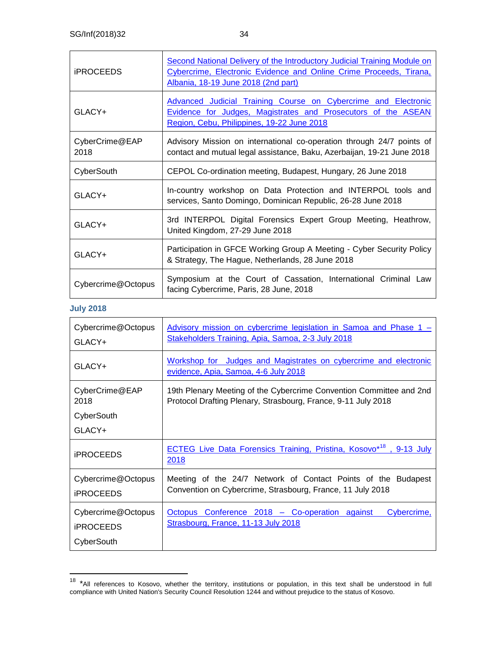| <b>iPROCEEDS</b>       | Second National Delivery of the Introductory Judicial Training Module on<br>Cybercrime, Electronic Evidence and Online Crime Proceeds, Tirana,<br>Albania, 18-19 June 2018 (2nd part) |
|------------------------|---------------------------------------------------------------------------------------------------------------------------------------------------------------------------------------|
| GLACY+                 | Advanced Judicial Training Course on Cybercrime and Electronic<br>Evidence for Judges, Magistrates and Prosecutors of the ASEAN<br>Region, Cebu, Philippines, 19-22 June 2018         |
| CyberCrime@EAP<br>2018 | Advisory Mission on international co-operation through 24/7 points of<br>contact and mutual legal assistance, Baku, Azerbaijan, 19-21 June 2018                                       |
| CyberSouth             | CEPOL Co-ordination meeting, Budapest, Hungary, 26 June 2018                                                                                                                          |
| GLACY+                 | In-country workshop on Data Protection and INTERPOL tools and<br>services, Santo Domingo, Dominican Republic, 26-28 June 2018                                                         |
| GLACY+                 | 3rd INTERPOL Digital Forensics Expert Group Meeting, Heathrow,<br>United Kingdom, 27-29 June 2018                                                                                     |
| $GLACY+$               | Participation in GFCE Working Group A Meeting - Cyber Security Policy<br>& Strategy, The Hague, Netherlands, 28 June 2018                                                             |
| Cybercrime@Octopus     | Symposium at the Court of Cassation, International Criminal Law<br>facing Cybercrime, Paris, 28 June, 2018                                                                            |

#### **July 2018**

| Cybercrime@Octopus<br>GLACY+                         | Advisory mission on cybercrime legislation in Samoa and Phase 1 –<br>Stakeholders Training, Apia, Samoa, 2-3 July 2018               |
|------------------------------------------------------|--------------------------------------------------------------------------------------------------------------------------------------|
| GLACY+                                               | Workshop for Judges and Magistrates on cybercrime and electronic<br>evidence, Apia, Samoa, 4-6 July 2018                             |
| CyberCrime@EAP<br>2018                               | 19th Plenary Meeting of the Cybercrime Convention Committee and 2nd<br>Protocol Drafting Plenary, Strasbourg, France, 9-11 July 2018 |
| CyberSouth                                           |                                                                                                                                      |
| GLACY+                                               |                                                                                                                                      |
| <b>iPROCEEDS</b>                                     | <b>ECTEG Live Data Forensics Training, Pristina, Kosovo*18</b> , 9-13 July<br>2018                                                   |
| Cybercrime@Octopus<br><b>iPROCEEDS</b>               | Meeting of the 24/7 Network of Contact Points of the Budapest<br>Convention on Cybercrime, Strasbourg, France, 11 July 2018          |
| Cybercrime@Octopus<br><b>iPROCEEDS</b><br>CyberSouth | Conference 2018 - Co-operation against<br>Octopus<br>Cybercrime,<br>Strasbourg, France, 11-13 July 2018                              |

<sup>&</sup>lt;sup>18</sup> \*All references to Kosovo, whether the territory, institutions or population, in this text shall be understood in full compliance with United Nation's Security Council Resolution 1244 and without prejudice to the status of Kosovo.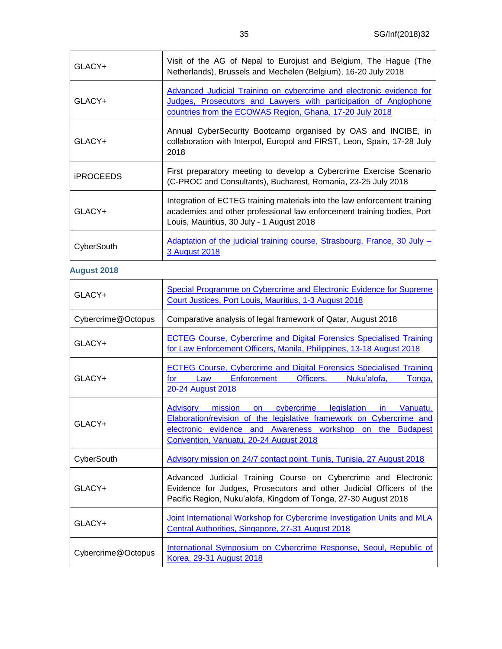| GLACY+           | Visit of the AG of Nepal to Eurojust and Belgium, The Hague (The<br>Netherlands), Brussels and Mechelen (Belgium), 16-20 July 2018                                                                   |
|------------------|------------------------------------------------------------------------------------------------------------------------------------------------------------------------------------------------------|
| GLACY+           | Advanced Judicial Training on cybercrime and electronic evidence for<br>Judges, Prosecutors and Lawyers with participation of Anglophone<br>countries from the ECOWAS Region, Ghana, 17-20 July 2018 |
| GLACY+           | Annual CyberSecurity Bootcamp organised by OAS and INCIBE, in<br>collaboration with Interpol, Europol and FIRST, Leon, Spain, 17-28 July<br>2018                                                     |
| <b>iPROCEEDS</b> | First preparatory meeting to develop a Cybercrime Exercise Scenario<br>(C-PROC and Consultants), Bucharest, Romania, 23-25 July 2018                                                                 |
| GLACY+           | Integration of ECTEG training materials into the law enforcement training<br>academies and other professional law enforcement training bodies, Port<br>Louis, Mauritius, 30 July - 1 August 2018     |
| CyberSouth       | Adaptation of the judicial training course, Strasbourg, France, 30 July -<br>3 August 2018                                                                                                           |

### **August 2018**

| GLACY+             | Special Programme on Cybercrime and Electronic Evidence for Supreme<br>Court Justices, Port Louis, Mauritius, 1-3 August 2018                                                                                                                                                   |
|--------------------|---------------------------------------------------------------------------------------------------------------------------------------------------------------------------------------------------------------------------------------------------------------------------------|
| Cybercrime@Octopus | Comparative analysis of legal framework of Qatar, August 2018                                                                                                                                                                                                                   |
| GLACY+             | <b>ECTEG Course, Cybercrime and Digital Forensics Specialised Training</b><br>for Law Enforcement Officers, Manila, Philippines, 13-18 August 2018                                                                                                                              |
| GLACY+             | <b>ECTEG Course, Cybercrime and Digital Forensics Specialised Training</b><br>Enforcement<br>Officers,<br>Law<br>Nuku'alofa.<br>Tonga,<br>for the set of the set of the set of the set of the set of the set of the set of the set of the set of the set o<br>20-24 August 2018 |
| GLACY+             | Advisory mission on cybercrime legislation in Vanuatu.<br>Elaboration/revision of the legislative framework on Cybercrime and<br>electronic evidence and Awareness workshop on the Budapest<br>Convention, Vanuatu, 20-24 August 2018                                           |
| CyberSouth         | Advisory mission on 24/7 contact point, Tunis, Tunisia, 27 August 2018                                                                                                                                                                                                          |
| $GLACY+$           | Advanced Judicial Training Course on Cybercrime and Electronic<br>Evidence for Judges, Prosecutors and other Judicial Officers of the<br>Pacific Region, Nuku'alofa, Kingdom of Tonga, 27-30 August 2018                                                                        |
| GLACY+             | Joint International Workshop for Cybercrime Investigation Units and MLA<br>Central Authorities, Singapore, 27-31 August 2018                                                                                                                                                    |
| Cybercrime@Octopus | International Symposium on Cybercrime Response, Seoul, Republic of<br>Korea, 29-31 August 2018                                                                                                                                                                                  |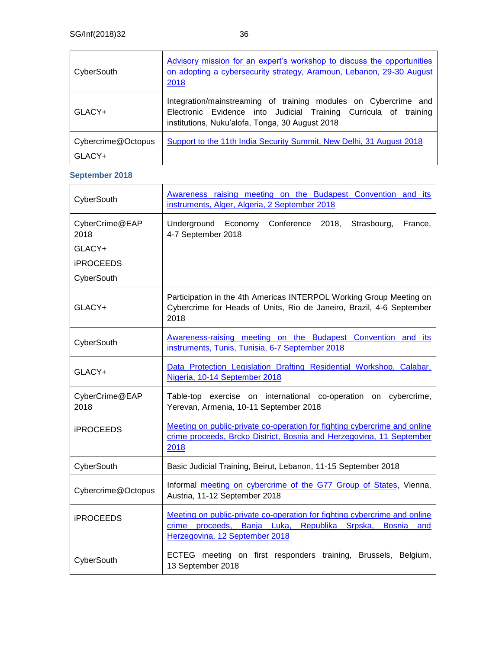| CyberSouth                   | Advisory mission for an expert's workshop to discuss the opportunities<br>on adopting a cybersecurity strategy, Aramoun, Lebanon, 29-30 August<br>2018                                 |
|------------------------------|----------------------------------------------------------------------------------------------------------------------------------------------------------------------------------------|
| GLACY+                       | Integration/mainstreaming of training modules on Cybercrime and<br>Electronic Evidence into Judicial Training Curricula of training<br>institutions, Nuku'alofa, Tonga, 30 August 2018 |
| Cybercrime@Octopus<br>GLACY+ | Support to the 11th India Security Summit, New Delhi, 31 August 2018                                                                                                                   |

### **September 2018**

| CyberSouth             | Awareness raising meeting on the Budapest Convention and its<br>instruments, Alger, Algeria, 2 September 2018                                                                        |
|------------------------|--------------------------------------------------------------------------------------------------------------------------------------------------------------------------------------|
| CyberCrime@EAP<br>2018 | Underground Economy Conference<br>2018,<br>Strasbourg,<br>France,<br>4-7 September 2018                                                                                              |
| GLACY+                 |                                                                                                                                                                                      |
| <b>iPROCEEDS</b>       |                                                                                                                                                                                      |
| CyberSouth             |                                                                                                                                                                                      |
| GLACY+                 | Participation in the 4th Americas INTERPOL Working Group Meeting on<br>Cybercrime for Heads of Units, Rio de Janeiro, Brazil, 4-6 September<br>2018                                  |
| CyberSouth             | Awareness-raising meeting on the Budapest Convention and its<br>instruments, Tunis, Tunisia, 6-7 September 2018                                                                      |
| GLACY+                 | Data Protection Legislation Drafting Residential Workshop, Calabar,<br>Nigeria, 10-14 September 2018                                                                                 |
| CyberCrime@EAP<br>2018 | Table-top exercise on international co-operation<br>on cybercrime,<br>Yerevan, Armenia, 10-11 September 2018                                                                         |
| <b>iPROCEEDS</b>       | Meeting on public-private co-operation for fighting cybercrime and online<br>crime proceeds, Brcko District, Bosnia and Herzegovina, 11 September<br>2018                            |
| CyberSouth             | Basic Judicial Training, Beirut, Lebanon, 11-15 September 2018                                                                                                                       |
| Cybercrime@Octopus     | Informal meeting on cybercrime of the G77 Group of States, Vienna,<br>Austria, 11-12 September 2018                                                                                  |
| <b>iPROCEEDS</b>       | Meeting on public-private co-operation for fighting cybercrime and online<br>crime proceeds, Banja Luka, Republika Srpska,<br><b>Bosnia</b><br>and<br>Herzegovina, 12 September 2018 |
| CyberSouth             | ECTEG meeting on first responders training, Brussels,<br>Belgium,<br>13 September 2018                                                                                               |